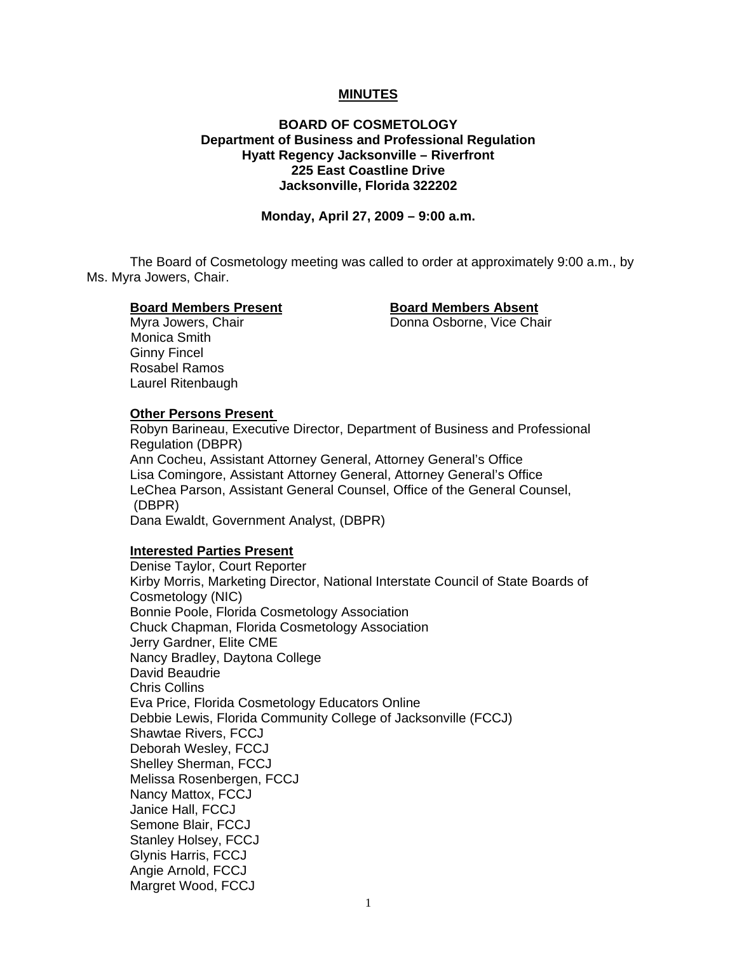### **MINUTES**

## **BOARD OF COSMETOLOGY Department of Business and Professional Regulation Hyatt Regency Jacksonville – Riverfront 225 East Coastline Drive Jacksonville, Florida 322202**

**Monday, April 27, 2009 – 9:00 a.m.** 

 The Board of Cosmetology meeting was called to order at approximately 9:00 a.m., by Ms. Myra Jowers, Chair.

#### **Board Members Present Board Members Absent**

Myra Jowers, Chair **National Contract Chair** Donna Osborne, Vice Chair

 Monica Smith Ginny Fincel Rosabel Ramos Laurel Ritenbaugh

# **Other Persons Present**

 Robyn Barineau, Executive Director, Department of Business and Professional Regulation (DBPR) Ann Cocheu, Assistant Attorney General, Attorney General's Office Lisa Comingore, Assistant Attorney General, Attorney General's Office LeChea Parson, Assistant General Counsel, Office of the General Counsel, (DBPR) Dana Ewaldt, Government Analyst, (DBPR)

### **Interested Parties Present**

Denise Taylor, Court Reporter Kirby Morris, Marketing Director, National Interstate Council of State Boards of Cosmetology (NIC) Bonnie Poole, Florida Cosmetology Association Chuck Chapman, Florida Cosmetology Association Jerry Gardner, Elite CME Nancy Bradley, Daytona College David Beaudrie Chris Collins Eva Price, Florida Cosmetology Educators Online Debbie Lewis, Florida Community College of Jacksonville (FCCJ) Shawtae Rivers, FCCJ Deborah Wesley, FCCJ Shelley Sherman, FCCJ Melissa Rosenbergen, FCCJ Nancy Mattox, FCCJ Janice Hall, FCCJ Semone Blair, FCCJ Stanley Holsey, FCCJ Glynis Harris, FCCJ Angie Arnold, FCCJ Margret Wood, FCCJ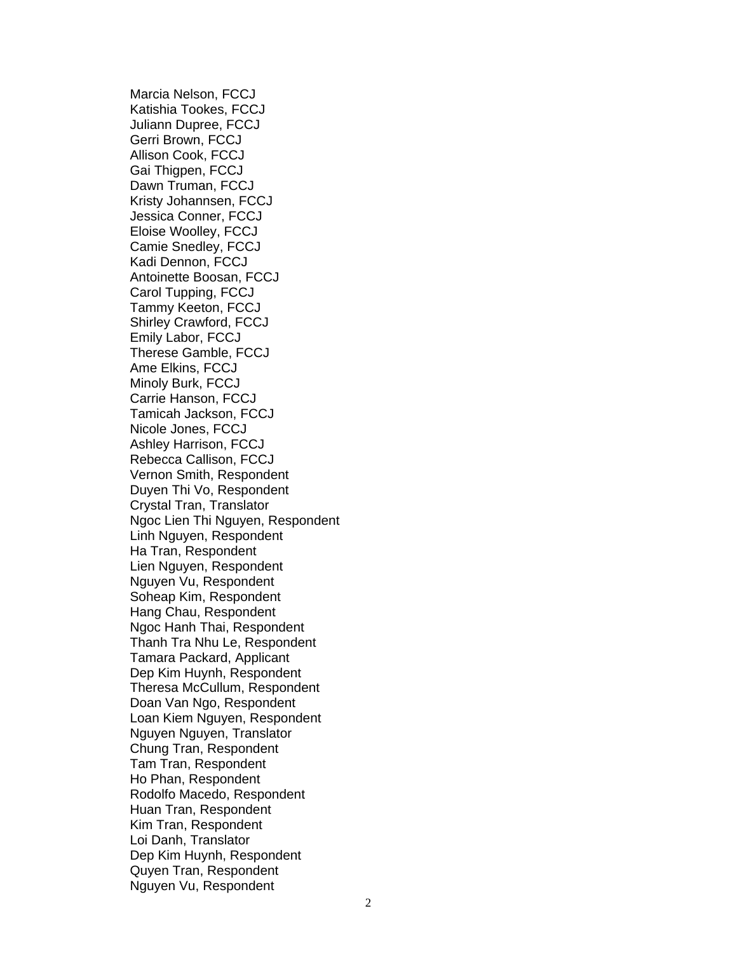Marcia Nelson, FCCJ Katishia Tookes, FCCJ Juliann Dupree, FCCJ Gerri Brown, FCCJ Allison Cook, FCCJ Gai Thigpen, FCCJ Dawn Truman, FCCJ Kristy Johannsen, FCCJ Jessica Conner, FCCJ Eloise Woolley, FCCJ Camie Snedley, FCCJ Kadi Dennon, FCCJ Antoinette Boosan, FCCJ Carol Tupping, FCCJ Tammy Keeton, FCCJ Shirley Crawford, FCCJ Emily Labor, FCCJ Therese Gamble, FCCJ Ame Elkins, FCCJ Minoly Burk, FCCJ Carrie Hanson, FCCJ Tamicah Jackson, FCCJ Nicole Jones, FCCJ Ashley Harrison, FCCJ Rebecca Callison, FCCJ Vernon Smith, Respondent Duyen Thi Vo, Respondent Crystal Tran, Translator Ngoc Lien Thi Nguyen, Respondent Linh Nguyen, Respondent Ha Tran, Respondent Lien Nguyen, Respondent Nguyen Vu, Respondent Soheap Kim, Respondent Hang Chau, Respondent Ngoc Hanh Thai, Respondent Thanh Tra Nhu Le, Respondent Tamara Packard, Applicant Dep Kim Huynh, Respondent Theresa McCullum, Respondent Doan Van Ngo, Respondent Loan Kiem Nguyen, Respondent Nguyen Nguyen, Translator Chung Tran, Respondent Tam Tran, Respondent Ho Phan, Respondent Rodolfo Macedo, Respondent Huan Tran, Respondent Kim Tran, Respondent Loi Danh, Translator Dep Kim Huynh, Respondent Quyen Tran, Respondent Nguyen Vu, Respondent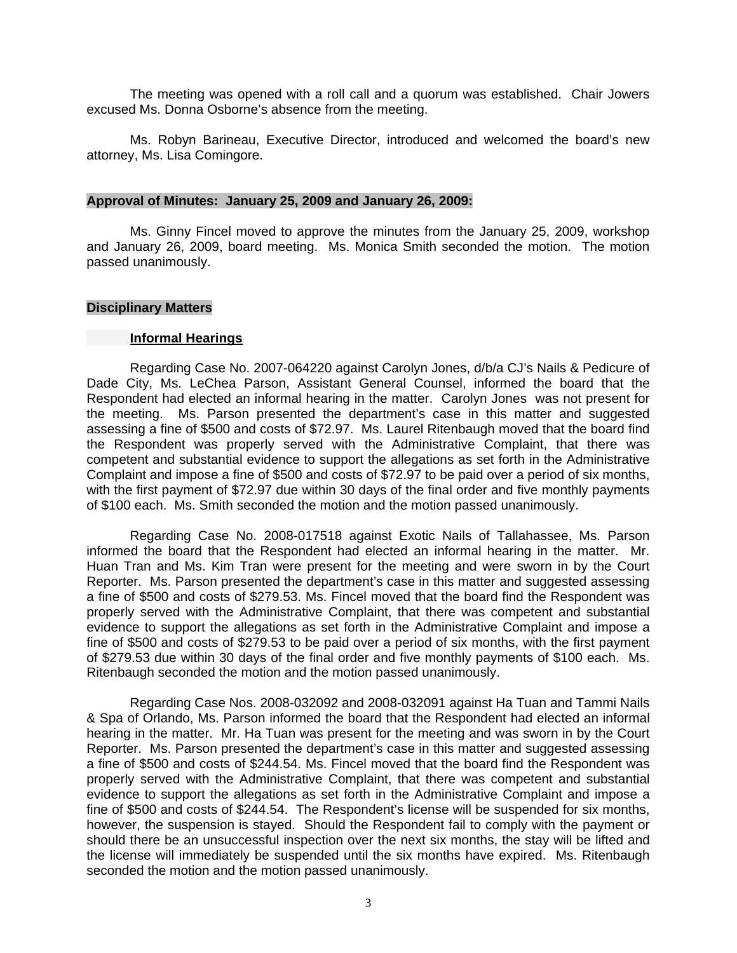The meeting was opened with a roll call and a quorum was established. Chair Jowers excused Ms. Donna Osborne's absence from the meeting.

 Ms. Robyn Barineau, Executive Director, introduced and welcomed the board's new attorney, Ms. Lisa Comingore.

#### **Approval of Minutes: January 25, 2009 and January 26, 2009:**

Ms. Ginny Fincel moved to approve the minutes from the January 25, 2009, workshop and January 26, 2009, board meeting. Ms. Monica Smith seconded the motion. The motion passed unanimously.

#### **Disciplinary Matters**

#### **Informal Hearings**

 Regarding Case No. 2007-064220 against Carolyn Jones, d/b/a CJ's Nails & Pedicure of Dade City, Ms. LeChea Parson, Assistant General Counsel, informed the board that the Respondent had elected an informal hearing in the matter. Carolyn Jones was not present for the meeting. Ms. Parson presented the department's case in this matter and suggested assessing a fine of \$500 and costs of \$72.97. Ms. Laurel Ritenbaugh moved that the board find the Respondent was properly served with the Administrative Complaint, that there was competent and substantial evidence to support the allegations as set forth in the Administrative Complaint and impose a fine of \$500 and costs of \$72.97 to be paid over a period of six months, with the first payment of \$72.97 due within 30 days of the final order and five monthly payments of \$100 each. Ms. Smith seconded the motion and the motion passed unanimously.

 Regarding Case No. 2008-017518 against Exotic Nails of Tallahassee, Ms. Parson informed the board that the Respondent had elected an informal hearing in the matter. Mr. Huan Tran and Ms. Kim Tran were present for the meeting and were sworn in by the Court Reporter. Ms. Parson presented the department's case in this matter and suggested assessing a fine of \$500 and costs of \$279.53. Ms. Fincel moved that the board find the Respondent was properly served with the Administrative Complaint, that there was competent and substantial evidence to support the allegations as set forth in the Administrative Complaint and impose a fine of \$500 and costs of \$279.53 to be paid over a period of six months, with the first payment of \$279.53 due within 30 days of the final order and five monthly payments of \$100 each. Ms. Ritenbaugh seconded the motion and the motion passed unanimously.

 Regarding Case Nos. 2008-032092 and 2008-032091 against Ha Tuan and Tammi Nails & Spa of Orlando, Ms. Parson informed the board that the Respondent had elected an informal hearing in the matter. Mr. Ha Tuan was present for the meeting and was sworn in by the Court Reporter. Ms. Parson presented the department's case in this matter and suggested assessing a fine of \$500 and costs of \$244.54. Ms. Fincel moved that the board find the Respondent was properly served with the Administrative Complaint, that there was competent and substantial evidence to support the allegations as set forth in the Administrative Complaint and impose a fine of \$500 and costs of \$244.54. The Respondent's license will be suspended for six months, however, the suspension is stayed. Should the Respondent fail to comply with the payment or should there be an unsuccessful inspection over the next six months, the stay will be lifted and the license will immediately be suspended until the six months have expired. Ms. Ritenbaugh seconded the motion and the motion passed unanimously.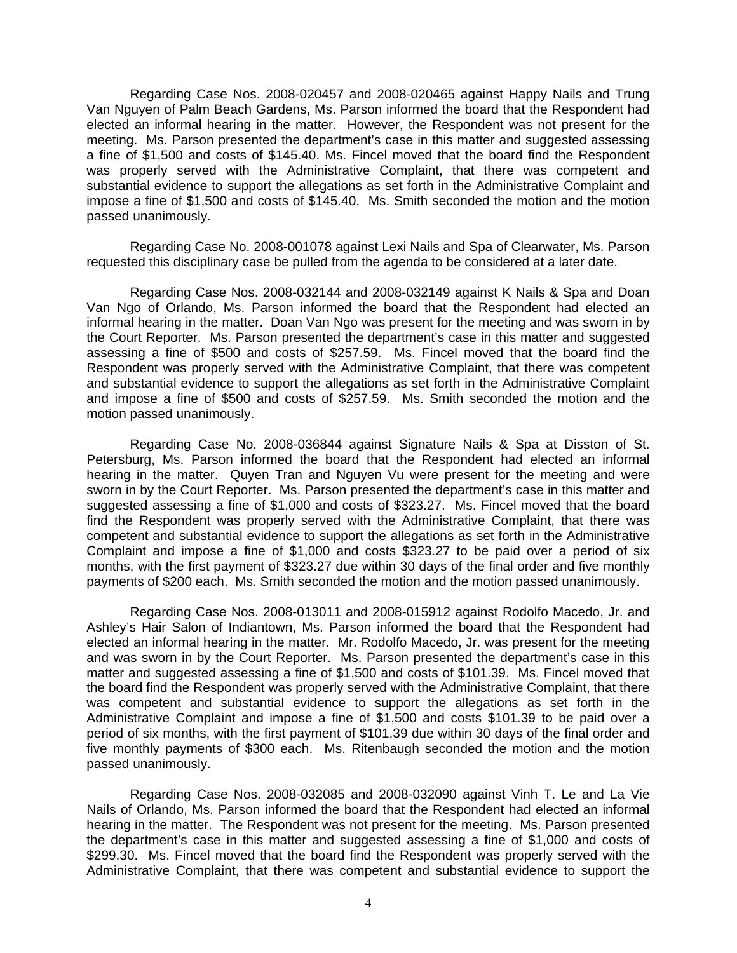Regarding Case Nos. 2008-020457 and 2008-020465 against Happy Nails and Trung Van Nguyen of Palm Beach Gardens, Ms. Parson informed the board that the Respondent had elected an informal hearing in the matter. However, the Respondent was not present for the meeting. Ms. Parson presented the department's case in this matter and suggested assessing a fine of \$1,500 and costs of \$145.40. Ms. Fincel moved that the board find the Respondent was properly served with the Administrative Complaint, that there was competent and substantial evidence to support the allegations as set forth in the Administrative Complaint and impose a fine of \$1,500 and costs of \$145.40. Ms. Smith seconded the motion and the motion passed unanimously.

Regarding Case No. 2008-001078 against Lexi Nails and Spa of Clearwater, Ms. Parson requested this disciplinary case be pulled from the agenda to be considered at a later date.

 Regarding Case Nos. 2008-032144 and 2008-032149 against K Nails & Spa and Doan Van Ngo of Orlando, Ms. Parson informed the board that the Respondent had elected an informal hearing in the matter. Doan Van Ngo was present for the meeting and was sworn in by the Court Reporter. Ms. Parson presented the department's case in this matter and suggested assessing a fine of \$500 and costs of \$257.59. Ms. Fincel moved that the board find the Respondent was properly served with the Administrative Complaint, that there was competent and substantial evidence to support the allegations as set forth in the Administrative Complaint and impose a fine of \$500 and costs of \$257.59. Ms. Smith seconded the motion and the motion passed unanimously.

 Regarding Case No. 2008-036844 against Signature Nails & Spa at Disston of St. Petersburg, Ms. Parson informed the board that the Respondent had elected an informal hearing in the matter. Quyen Tran and Nguyen Vu were present for the meeting and were sworn in by the Court Reporter. Ms. Parson presented the department's case in this matter and suggested assessing a fine of \$1,000 and costs of \$323.27. Ms. Fincel moved that the board find the Respondent was properly served with the Administrative Complaint, that there was competent and substantial evidence to support the allegations as set forth in the Administrative Complaint and impose a fine of \$1,000 and costs \$323.27 to be paid over a period of six months, with the first payment of \$323.27 due within 30 days of the final order and five monthly payments of \$200 each. Ms. Smith seconded the motion and the motion passed unanimously.

 Regarding Case Nos. 2008-013011 and 2008-015912 against Rodolfo Macedo, Jr. and Ashley's Hair Salon of Indiantown, Ms. Parson informed the board that the Respondent had elected an informal hearing in the matter. Mr. Rodolfo Macedo, Jr. was present for the meeting and was sworn in by the Court Reporter. Ms. Parson presented the department's case in this matter and suggested assessing a fine of \$1,500 and costs of \$101.39. Ms. Fincel moved that the board find the Respondent was properly served with the Administrative Complaint, that there was competent and substantial evidence to support the allegations as set forth in the Administrative Complaint and impose a fine of \$1,500 and costs \$101.39 to be paid over a period of six months, with the first payment of \$101.39 due within 30 days of the final order and five monthly payments of \$300 each. Ms. Ritenbaugh seconded the motion and the motion passed unanimously.

 Regarding Case Nos. 2008-032085 and 2008-032090 against Vinh T. Le and La Vie Nails of Orlando, Ms. Parson informed the board that the Respondent had elected an informal hearing in the matter. The Respondent was not present for the meeting. Ms. Parson presented the department's case in this matter and suggested assessing a fine of \$1,000 and costs of \$299.30. Ms. Fincel moved that the board find the Respondent was properly served with the Administrative Complaint, that there was competent and substantial evidence to support the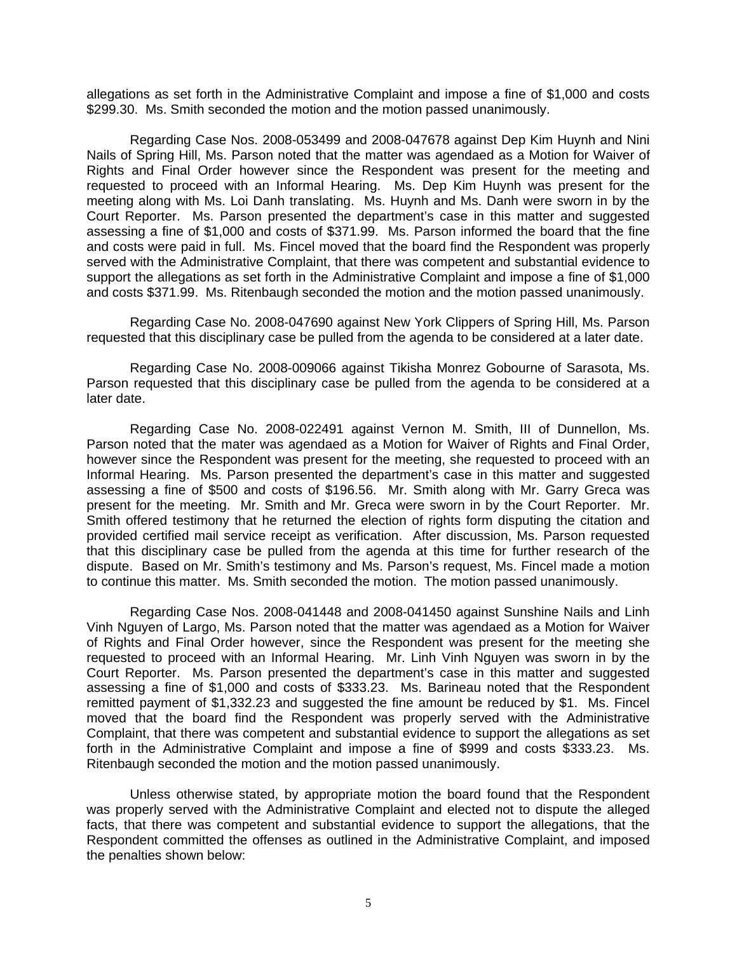allegations as set forth in the Administrative Complaint and impose a fine of \$1,000 and costs \$299.30. Ms. Smith seconded the motion and the motion passed unanimously.

 Regarding Case Nos. 2008-053499 and 2008-047678 against Dep Kim Huynh and Nini Nails of Spring Hill, Ms. Parson noted that the matter was agendaed as a Motion for Waiver of Rights and Final Order however since the Respondent was present for the meeting and requested to proceed with an Informal Hearing. Ms. Dep Kim Huynh was present for the meeting along with Ms. Loi Danh translating. Ms. Huynh and Ms. Danh were sworn in by the Court Reporter. Ms. Parson presented the department's case in this matter and suggested assessing a fine of \$1,000 and costs of \$371.99. Ms. Parson informed the board that the fine and costs were paid in full. Ms. Fincel moved that the board find the Respondent was properly served with the Administrative Complaint, that there was competent and substantial evidence to support the allegations as set forth in the Administrative Complaint and impose a fine of \$1,000 and costs \$371.99. Ms. Ritenbaugh seconded the motion and the motion passed unanimously.

 Regarding Case No. 2008-047690 against New York Clippers of Spring Hill, Ms. Parson requested that this disciplinary case be pulled from the agenda to be considered at a later date.

 Regarding Case No. 2008-009066 against Tikisha Monrez Gobourne of Sarasota, Ms. Parson requested that this disciplinary case be pulled from the agenda to be considered at a later date.

 Regarding Case No. 2008-022491 against Vernon M. Smith, III of Dunnellon, Ms. Parson noted that the mater was agendaed as a Motion for Waiver of Rights and Final Order, however since the Respondent was present for the meeting, she requested to proceed with an Informal Hearing. Ms. Parson presented the department's case in this matter and suggested assessing a fine of \$500 and costs of \$196.56. Mr. Smith along with Mr. Garry Greca was present for the meeting. Mr. Smith and Mr. Greca were sworn in by the Court Reporter. Mr. Smith offered testimony that he returned the election of rights form disputing the citation and provided certified mail service receipt as verification. After discussion, Ms. Parson requested that this disciplinary case be pulled from the agenda at this time for further research of the dispute. Based on Mr. Smith's testimony and Ms. Parson's request, Ms. Fincel made a motion to continue this matter. Ms. Smith seconded the motion. The motion passed unanimously.

 Regarding Case Nos. 2008-041448 and 2008-041450 against Sunshine Nails and Linh Vinh Nguyen of Largo, Ms. Parson noted that the matter was agendaed as a Motion for Waiver of Rights and Final Order however, since the Respondent was present for the meeting she requested to proceed with an Informal Hearing. Mr. Linh Vinh Nguyen was sworn in by the Court Reporter. Ms. Parson presented the department's case in this matter and suggested assessing a fine of \$1,000 and costs of \$333.23. Ms. Barineau noted that the Respondent remitted payment of \$1,332.23 and suggested the fine amount be reduced by \$1. Ms. Fincel moved that the board find the Respondent was properly served with the Administrative Complaint, that there was competent and substantial evidence to support the allegations as set forth in the Administrative Complaint and impose a fine of \$999 and costs \$333.23. Ms. Ritenbaugh seconded the motion and the motion passed unanimously.

 Unless otherwise stated, by appropriate motion the board found that the Respondent was properly served with the Administrative Complaint and elected not to dispute the alleged facts, that there was competent and substantial evidence to support the allegations, that the Respondent committed the offenses as outlined in the Administrative Complaint, and imposed the penalties shown below: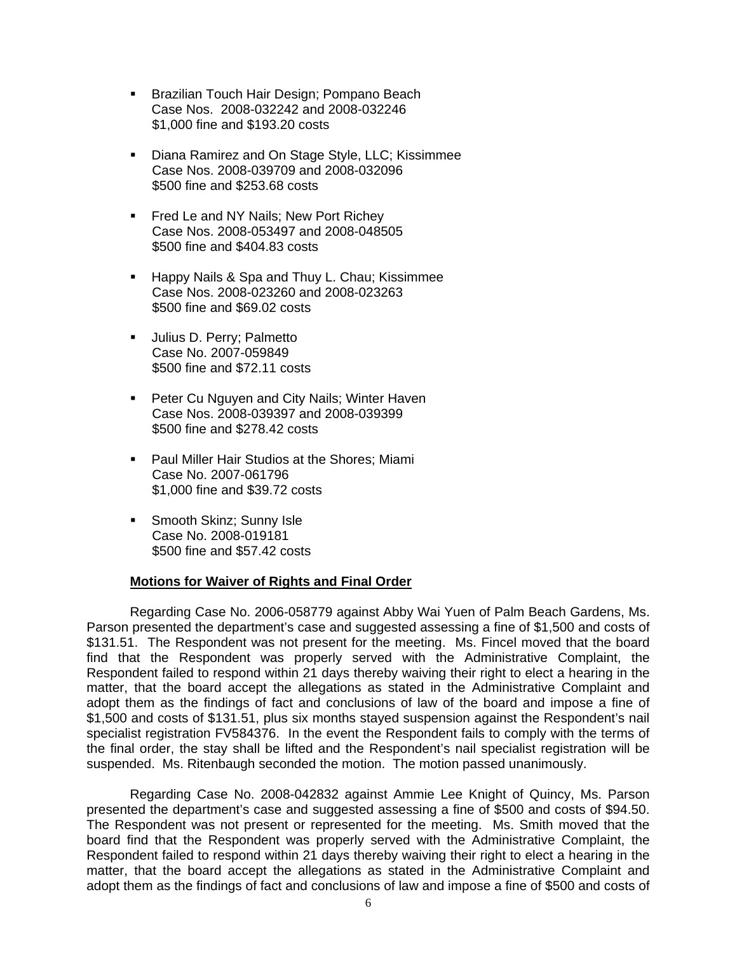- **Brazilian Touch Hair Design; Pompano Beach** Case Nos. 2008-032242 and 2008-032246 \$1,000 fine and \$193.20 costs
- **Diana Ramirez and On Stage Style, LLC; Kissimmee**  Case Nos. 2008-039709 and 2008-032096 \$500 fine and \$253.68 costs
- **Filter Leand NY Nails; New Port Richey**  Case Nos. 2008-053497 and 2008-048505 \$500 fine and \$404.83 costs
- **Happy Nails & Spa and Thuy L. Chau; Kissimmee**  Case Nos. 2008-023260 and 2008-023263 \$500 fine and \$69.02 costs
- **Julius D. Perry; Palmetto**  Case No. 2007-059849 \$500 fine and \$72.11 costs
- **Peter Cu Nguyen and City Nails; Winter Haven**  Case Nos. 2008-039397 and 2008-039399 \$500 fine and \$278.42 costs
- **Paul Miller Hair Studios at the Shores; Miami**  Case No. 2007-061796 \$1,000 fine and \$39.72 costs
- **Smooth Skinz; Sunny Isle**  Case No. 2008-019181 \$500 fine and \$57.42 costs

### **Motions for Waiver of Rights and Final Order**

 Regarding Case No. 2006-058779 against Abby Wai Yuen of Palm Beach Gardens, Ms. Parson presented the department's case and suggested assessing a fine of \$1,500 and costs of \$131.51. The Respondent was not present for the meeting. Ms. Fincel moved that the board find that the Respondent was properly served with the Administrative Complaint, the Respondent failed to respond within 21 days thereby waiving their right to elect a hearing in the matter, that the board accept the allegations as stated in the Administrative Complaint and adopt them as the findings of fact and conclusions of law of the board and impose a fine of \$1,500 and costs of \$131.51, plus six months stayed suspension against the Respondent's nail specialist registration FV584376. In the event the Respondent fails to comply with the terms of the final order, the stay shall be lifted and the Respondent's nail specialist registration will be suspended. Ms. Ritenbaugh seconded the motion. The motion passed unanimously.

 Regarding Case No. 2008-042832 against Ammie Lee Knight of Quincy, Ms. Parson presented the department's case and suggested assessing a fine of \$500 and costs of \$94.50. The Respondent was not present or represented for the meeting. Ms. Smith moved that the board find that the Respondent was properly served with the Administrative Complaint, the Respondent failed to respond within 21 days thereby waiving their right to elect a hearing in the matter, that the board accept the allegations as stated in the Administrative Complaint and adopt them as the findings of fact and conclusions of law and impose a fine of \$500 and costs of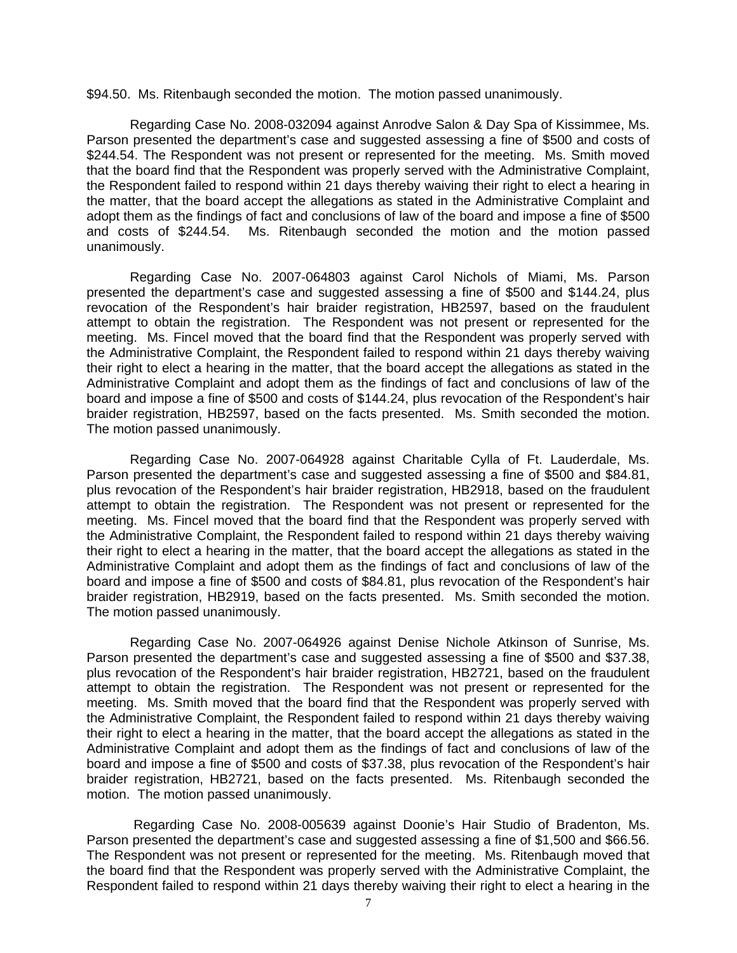\$94.50. Ms. Ritenbaugh seconded the motion. The motion passed unanimously.

 Regarding Case No. 2008-032094 against Anrodve Salon & Day Spa of Kissimmee, Ms. Parson presented the department's case and suggested assessing a fine of \$500 and costs of \$244.54. The Respondent was not present or represented for the meeting. Ms. Smith moved that the board find that the Respondent was properly served with the Administrative Complaint, the Respondent failed to respond within 21 days thereby waiving their right to elect a hearing in the matter, that the board accept the allegations as stated in the Administrative Complaint and adopt them as the findings of fact and conclusions of law of the board and impose a fine of \$500 and costs of \$244.54. Ms. Ritenbaugh seconded the motion and the motion passed unanimously.

 Regarding Case No. 2007-064803 against Carol Nichols of Miami, Ms. Parson presented the department's case and suggested assessing a fine of \$500 and \$144.24, plus revocation of the Respondent's hair braider registration, HB2597, based on the fraudulent attempt to obtain the registration. The Respondent was not present or represented for the meeting. Ms. Fincel moved that the board find that the Respondent was properly served with the Administrative Complaint, the Respondent failed to respond within 21 days thereby waiving their right to elect a hearing in the matter, that the board accept the allegations as stated in the Administrative Complaint and adopt them as the findings of fact and conclusions of law of the board and impose a fine of \$500 and costs of \$144.24, plus revocation of the Respondent's hair braider registration, HB2597, based on the facts presented. Ms. Smith seconded the motion. The motion passed unanimously.

 Regarding Case No. 2007-064928 against Charitable Cylla of Ft. Lauderdale, Ms. Parson presented the department's case and suggested assessing a fine of \$500 and \$84.81, plus revocation of the Respondent's hair braider registration, HB2918, based on the fraudulent attempt to obtain the registration. The Respondent was not present or represented for the meeting. Ms. Fincel moved that the board find that the Respondent was properly served with the Administrative Complaint, the Respondent failed to respond within 21 days thereby waiving their right to elect a hearing in the matter, that the board accept the allegations as stated in the Administrative Complaint and adopt them as the findings of fact and conclusions of law of the board and impose a fine of \$500 and costs of \$84.81, plus revocation of the Respondent's hair braider registration, HB2919, based on the facts presented. Ms. Smith seconded the motion. The motion passed unanimously.

 Regarding Case No. 2007-064926 against Denise Nichole Atkinson of Sunrise, Ms. Parson presented the department's case and suggested assessing a fine of \$500 and \$37.38, plus revocation of the Respondent's hair braider registration, HB2721, based on the fraudulent attempt to obtain the registration. The Respondent was not present or represented for the meeting. Ms. Smith moved that the board find that the Respondent was properly served with the Administrative Complaint, the Respondent failed to respond within 21 days thereby waiving their right to elect a hearing in the matter, that the board accept the allegations as stated in the Administrative Complaint and adopt them as the findings of fact and conclusions of law of the board and impose a fine of \$500 and costs of \$37.38, plus revocation of the Respondent's hair braider registration, HB2721, based on the facts presented. Ms. Ritenbaugh seconded the motion. The motion passed unanimously.

 Regarding Case No. 2008-005639 against Doonie's Hair Studio of Bradenton, Ms. Parson presented the department's case and suggested assessing a fine of \$1,500 and \$66.56. The Respondent was not present or represented for the meeting. Ms. Ritenbaugh moved that the board find that the Respondent was properly served with the Administrative Complaint, the Respondent failed to respond within 21 days thereby waiving their right to elect a hearing in the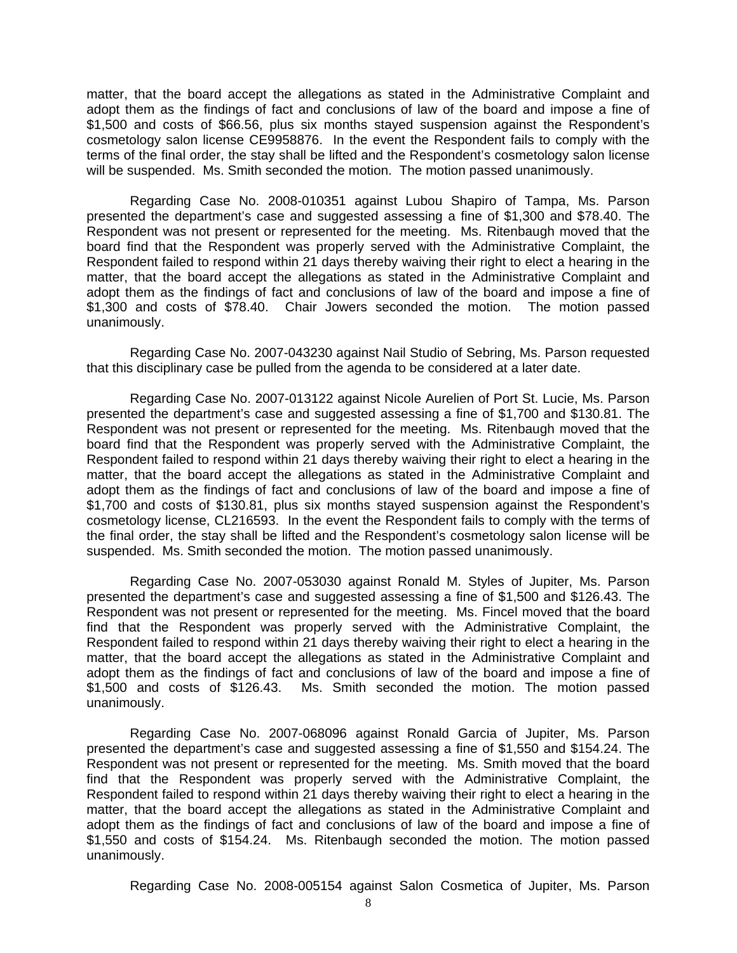matter, that the board accept the allegations as stated in the Administrative Complaint and adopt them as the findings of fact and conclusions of law of the board and impose a fine of \$1,500 and costs of \$66.56, plus six months stayed suspension against the Respondent's cosmetology salon license CE9958876. In the event the Respondent fails to comply with the terms of the final order, the stay shall be lifted and the Respondent's cosmetology salon license will be suspended. Ms. Smith seconded the motion. The motion passed unanimously.

 Regarding Case No. 2008-010351 against Lubou Shapiro of Tampa, Ms. Parson presented the department's case and suggested assessing a fine of \$1,300 and \$78.40. The Respondent was not present or represented for the meeting. Ms. Ritenbaugh moved that the board find that the Respondent was properly served with the Administrative Complaint, the Respondent failed to respond within 21 days thereby waiving their right to elect a hearing in the matter, that the board accept the allegations as stated in the Administrative Complaint and adopt them as the findings of fact and conclusions of law of the board and impose a fine of \$1,300 and costs of \$78.40. Chair Jowers seconded the motion. The motion passed unanimously.

 Regarding Case No. 2007-043230 against Nail Studio of Sebring, Ms. Parson requested that this disciplinary case be pulled from the agenda to be considered at a later date.

 Regarding Case No. 2007-013122 against Nicole Aurelien of Port St. Lucie, Ms. Parson presented the department's case and suggested assessing a fine of \$1,700 and \$130.81. The Respondent was not present or represented for the meeting. Ms. Ritenbaugh moved that the board find that the Respondent was properly served with the Administrative Complaint, the Respondent failed to respond within 21 days thereby waiving their right to elect a hearing in the matter, that the board accept the allegations as stated in the Administrative Complaint and adopt them as the findings of fact and conclusions of law of the board and impose a fine of \$1,700 and costs of \$130.81, plus six months stayed suspension against the Respondent's cosmetology license, CL216593. In the event the Respondent fails to comply with the terms of the final order, the stay shall be lifted and the Respondent's cosmetology salon license will be suspended. Ms. Smith seconded the motion. The motion passed unanimously.

 Regarding Case No. 2007-053030 against Ronald M. Styles of Jupiter, Ms. Parson presented the department's case and suggested assessing a fine of \$1,500 and \$126.43. The Respondent was not present or represented for the meeting. Ms. Fincel moved that the board find that the Respondent was properly served with the Administrative Complaint, the Respondent failed to respond within 21 days thereby waiving their right to elect a hearing in the matter, that the board accept the allegations as stated in the Administrative Complaint and adopt them as the findings of fact and conclusions of law of the board and impose a fine of \$1,500 and costs of \$126.43. Ms. Smith seconded the motion. The motion passed unanimously.

 Regarding Case No. 2007-068096 against Ronald Garcia of Jupiter, Ms. Parson presented the department's case and suggested assessing a fine of \$1,550 and \$154.24. The Respondent was not present or represented for the meeting. Ms. Smith moved that the board find that the Respondent was properly served with the Administrative Complaint, the Respondent failed to respond within 21 days thereby waiving their right to elect a hearing in the matter, that the board accept the allegations as stated in the Administrative Complaint and adopt them as the findings of fact and conclusions of law of the board and impose a fine of \$1,550 and costs of \$154.24. Ms. Ritenbaugh seconded the motion. The motion passed unanimously.

Regarding Case No. 2008-005154 against Salon Cosmetica of Jupiter, Ms. Parson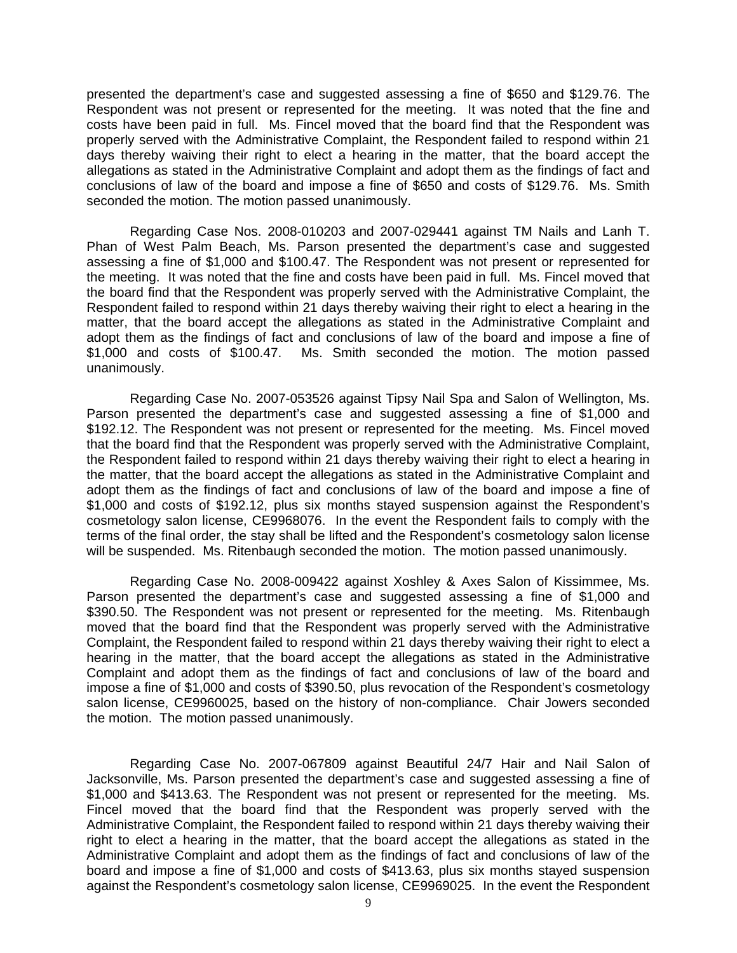presented the department's case and suggested assessing a fine of \$650 and \$129.76. The Respondent was not present or represented for the meeting. It was noted that the fine and costs have been paid in full. Ms. Fincel moved that the board find that the Respondent was properly served with the Administrative Complaint, the Respondent failed to respond within 21 days thereby waiving their right to elect a hearing in the matter, that the board accept the allegations as stated in the Administrative Complaint and adopt them as the findings of fact and conclusions of law of the board and impose a fine of \$650 and costs of \$129.76. Ms. Smith seconded the motion. The motion passed unanimously.

 Regarding Case Nos. 2008-010203 and 2007-029441 against TM Nails and Lanh T. Phan of West Palm Beach, Ms. Parson presented the department's case and suggested assessing a fine of \$1,000 and \$100.47. The Respondent was not present or represented for the meeting. It was noted that the fine and costs have been paid in full. Ms. Fincel moved that the board find that the Respondent was properly served with the Administrative Complaint, the Respondent failed to respond within 21 days thereby waiving their right to elect a hearing in the matter, that the board accept the allegations as stated in the Administrative Complaint and adopt them as the findings of fact and conclusions of law of the board and impose a fine of \$1,000 and costs of \$100.47. Ms. Smith seconded the motion. The motion passed unanimously.

 Regarding Case No. 2007-053526 against Tipsy Nail Spa and Salon of Wellington, Ms. Parson presented the department's case and suggested assessing a fine of \$1,000 and \$192.12. The Respondent was not present or represented for the meeting. Ms. Fincel moved that the board find that the Respondent was properly served with the Administrative Complaint, the Respondent failed to respond within 21 days thereby waiving their right to elect a hearing in the matter, that the board accept the allegations as stated in the Administrative Complaint and adopt them as the findings of fact and conclusions of law of the board and impose a fine of \$1,000 and costs of \$192.12, plus six months stayed suspension against the Respondent's cosmetology salon license, CE9968076. In the event the Respondent fails to comply with the terms of the final order, the stay shall be lifted and the Respondent's cosmetology salon license will be suspended. Ms. Ritenbaugh seconded the motion. The motion passed unanimously.

 Regarding Case No. 2008-009422 against Xoshley & Axes Salon of Kissimmee, Ms. Parson presented the department's case and suggested assessing a fine of \$1,000 and \$390.50. The Respondent was not present or represented for the meeting. Ms. Ritenbaugh moved that the board find that the Respondent was properly served with the Administrative Complaint, the Respondent failed to respond within 21 days thereby waiving their right to elect a hearing in the matter, that the board accept the allegations as stated in the Administrative Complaint and adopt them as the findings of fact and conclusions of law of the board and impose a fine of \$1,000 and costs of \$390.50, plus revocation of the Respondent's cosmetology salon license, CE9960025, based on the history of non-compliance. Chair Jowers seconded the motion. The motion passed unanimously.

 Regarding Case No. 2007-067809 against Beautiful 24/7 Hair and Nail Salon of Jacksonville, Ms. Parson presented the department's case and suggested assessing a fine of \$1,000 and \$413.63. The Respondent was not present or represented for the meeting. Ms. Fincel moved that the board find that the Respondent was properly served with the Administrative Complaint, the Respondent failed to respond within 21 days thereby waiving their right to elect a hearing in the matter, that the board accept the allegations as stated in the Administrative Complaint and adopt them as the findings of fact and conclusions of law of the board and impose a fine of \$1,000 and costs of \$413.63, plus six months stayed suspension against the Respondent's cosmetology salon license, CE9969025. In the event the Respondent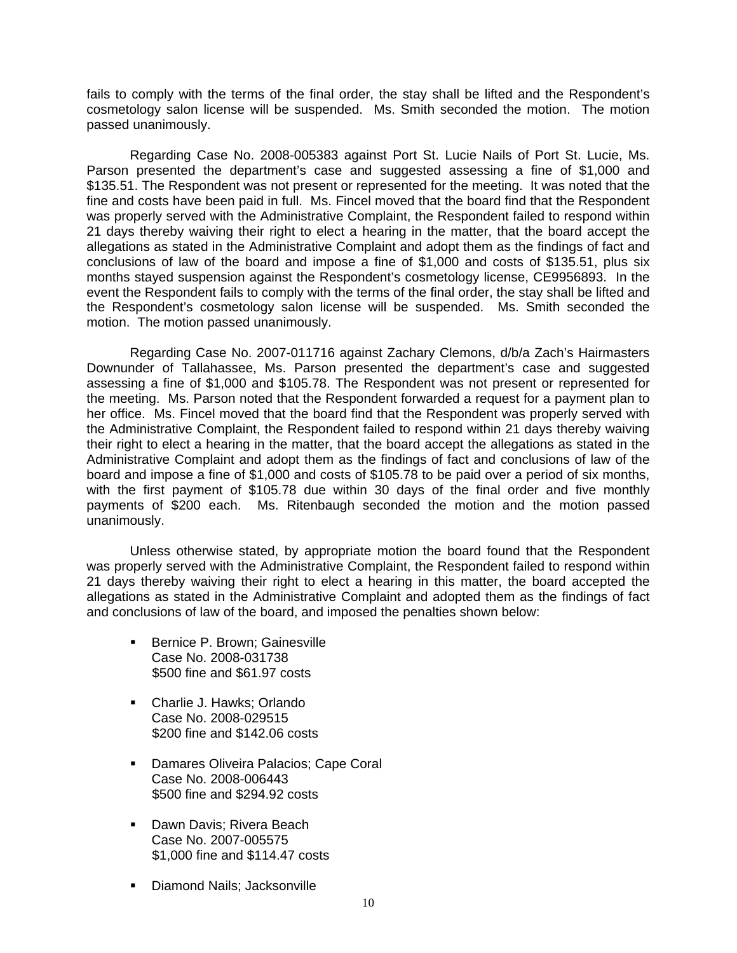fails to comply with the terms of the final order, the stay shall be lifted and the Respondent's cosmetology salon license will be suspended. Ms. Smith seconded the motion. The motion passed unanimously.

 Regarding Case No. 2008-005383 against Port St. Lucie Nails of Port St. Lucie, Ms. Parson presented the department's case and suggested assessing a fine of \$1,000 and \$135.51. The Respondent was not present or represented for the meeting. It was noted that the fine and costs have been paid in full. Ms. Fincel moved that the board find that the Respondent was properly served with the Administrative Complaint, the Respondent failed to respond within 21 days thereby waiving their right to elect a hearing in the matter, that the board accept the allegations as stated in the Administrative Complaint and adopt them as the findings of fact and conclusions of law of the board and impose a fine of \$1,000 and costs of \$135.51, plus six months stayed suspension against the Respondent's cosmetology license, CE9956893. In the event the Respondent fails to comply with the terms of the final order, the stay shall be lifted and the Respondent's cosmetology salon license will be suspended. Ms. Smith seconded the motion. The motion passed unanimously.

 Regarding Case No. 2007-011716 against Zachary Clemons, d/b/a Zach's Hairmasters Downunder of Tallahassee, Ms. Parson presented the department's case and suggested assessing a fine of \$1,000 and \$105.78. The Respondent was not present or represented for the meeting. Ms. Parson noted that the Respondent forwarded a request for a payment plan to her office. Ms. Fincel moved that the board find that the Respondent was properly served with the Administrative Complaint, the Respondent failed to respond within 21 days thereby waiving their right to elect a hearing in the matter, that the board accept the allegations as stated in the Administrative Complaint and adopt them as the findings of fact and conclusions of law of the board and impose a fine of \$1,000 and costs of \$105.78 to be paid over a period of six months, with the first payment of \$105.78 due within 30 days of the final order and five monthly payments of \$200 each. Ms. Ritenbaugh seconded the motion and the motion passed unanimously.

 Unless otherwise stated, by appropriate motion the board found that the Respondent was properly served with the Administrative Complaint, the Respondent failed to respond within 21 days thereby waiving their right to elect a hearing in this matter, the board accepted the allegations as stated in the Administrative Complaint and adopted them as the findings of fact and conclusions of law of the board, and imposed the penalties shown below:

- **Bernice P. Brown; Gainesville** Case No. 2008-031738 \$500 fine and \$61.97 costs
- Charlie J. Hawks; Orlando Case No. 2008-029515 \$200 fine and \$142.06 costs
- **Damares Oliveira Palacios; Cape Coral** Case No. 2008-006443 \$500 fine and \$294.92 costs
- Dawn Davis: Rivera Beach Case No. 2007-005575 \$1,000 fine and \$114.47 costs
- Diamond Nails; Jacksonville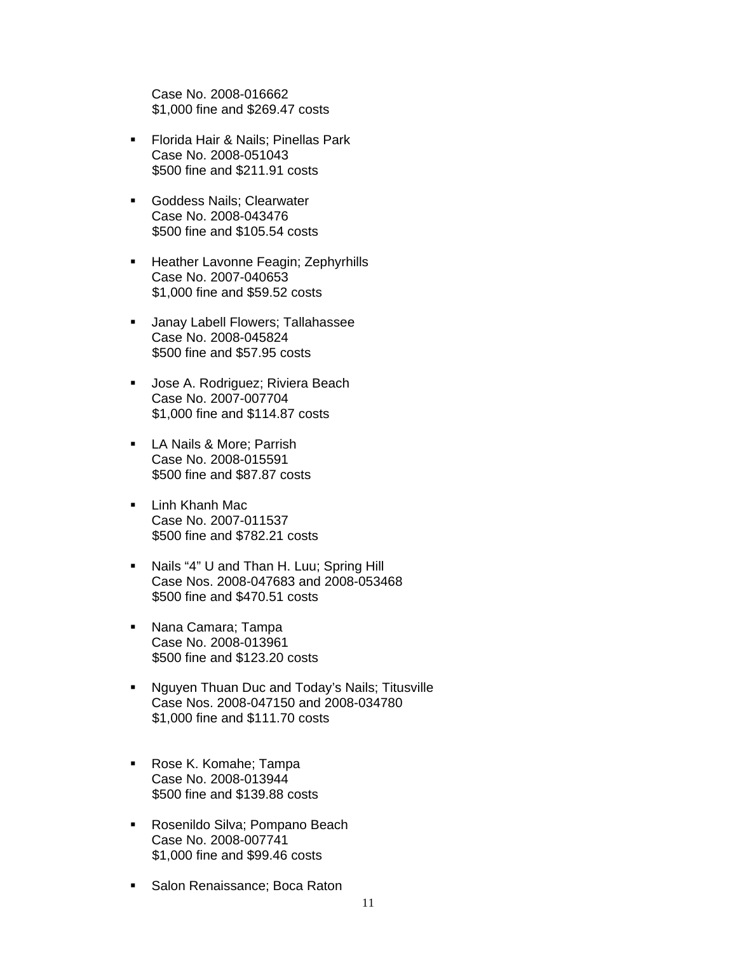Case No. 2008-016662 \$1,000 fine and \$269.47 costs

- **Florida Hair & Nails; Pinellas Park** Case No. 2008-051043 \$500 fine and \$211.91 costs
- **Goddess Nails; Clearwater** Case No. 2008-043476 \$500 fine and \$105.54 costs
- **Heather Lavonne Feagin; Zephyrhills** Case No. 2007-040653 \$1,000 fine and \$59.52 costs
- **Janay Labell Flowers; Tallahassee** Case No. 2008-045824 \$500 fine and \$57.95 costs
- **Jose A. Rodriguez; Riviera Beach** Case No. 2007-007704 \$1,000 fine and \$114.87 costs
- **LA Nails & More; Parrish** Case No. 2008-015591 \$500 fine and \$87.87 costs
- **Linh Khanh Mac** Case No. 2007-011537 \$500 fine and \$782.21 costs
- Nails "4" U and Than H. Luu; Spring Hill Case Nos. 2008-047683 and 2008-053468 \$500 fine and \$470.51 costs
- **Nana Camara; Tampa** Case No. 2008-013961 \$500 fine and \$123.20 costs
- **Nguyen Thuan Duc and Today's Nails; Titusville** Case Nos. 2008-047150 and 2008-034780 \$1,000 fine and \$111.70 costs
- Rose K. Komahe; Tampa Case No. 2008-013944 \$500 fine and \$139.88 costs
- **Rosenildo Silva; Pompano Beach** Case No. 2008-007741 \$1,000 fine and \$99.46 costs
- **Salon Renaissance; Boca Raton**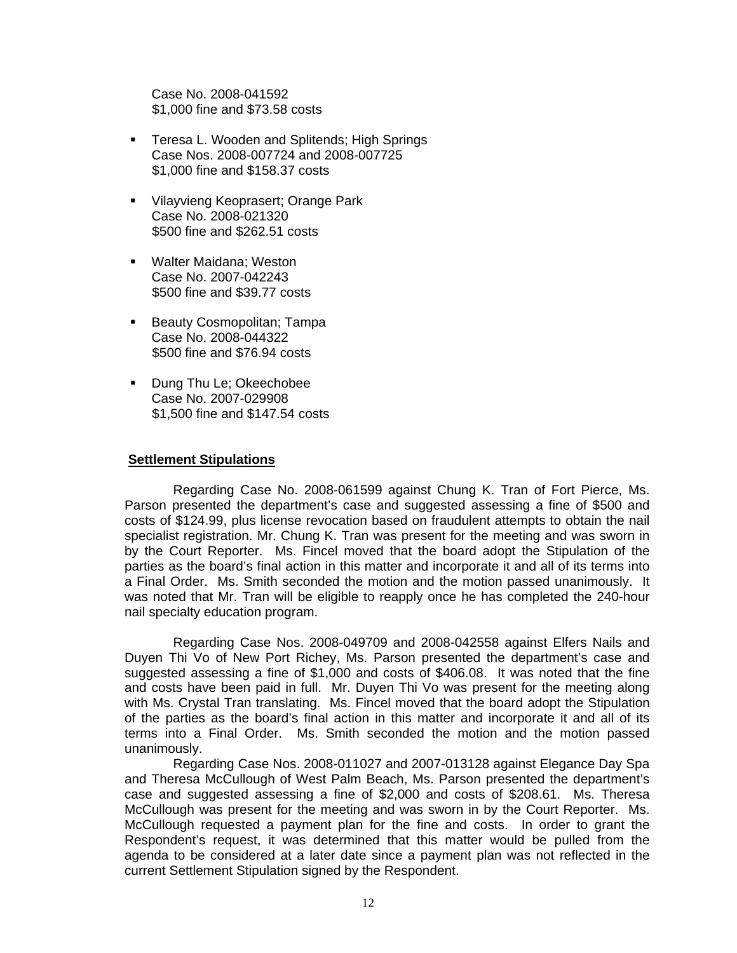Case No. 2008-041592 \$1,000 fine and \$73.58 costs

- **Teresa L. Wooden and Splitends; High Springs** Case Nos. 2008-007724 and 2008-007725 \$1,000 fine and \$158.37 costs
- **Vilayvieng Keoprasert; Orange Park** Case No. 2008-021320 \$500 fine and \$262.51 costs
- Walter Maidana; Weston Case No. 2007-042243 \$500 fine and \$39.77 costs
- **Beauty Cosmopolitan; Tampa** Case No. 2008-044322 \$500 fine and \$76.94 costs
- **Dung Thu Le; Okeechobee** Case No. 2007-029908 \$1,500 fine and \$147.54 costs

## **Settlement Stipulations**

 Regarding Case No. 2008-061599 against Chung K. Tran of Fort Pierce, Ms. Parson presented the department's case and suggested assessing a fine of \$500 and costs of \$124.99, plus license revocation based on fraudulent attempts to obtain the nail specialist registration. Mr. Chung K. Tran was present for the meeting and was sworn in by the Court Reporter. Ms. Fincel moved that the board adopt the Stipulation of the parties as the board's final action in this matter and incorporate it and all of its terms into a Final Order. Ms. Smith seconded the motion and the motion passed unanimously. It was noted that Mr. Tran will be eligible to reapply once he has completed the 240-hour nail specialty education program.

 Regarding Case Nos. 2008-049709 and 2008-042558 against Elfers Nails and Duyen Thi Vo of New Port Richey, Ms. Parson presented the department's case and suggested assessing a fine of \$1,000 and costs of \$406.08. It was noted that the fine and costs have been paid in full. Mr. Duyen Thi Vo was present for the meeting along with Ms. Crystal Tran translating. Ms. Fincel moved that the board adopt the Stipulation of the parties as the board's final action in this matter and incorporate it and all of its terms into a Final Order. Ms. Smith seconded the motion and the motion passed unanimously.

 Regarding Case Nos. 2008-011027 and 2007-013128 against Elegance Day Spa and Theresa McCullough of West Palm Beach, Ms. Parson presented the department's case and suggested assessing a fine of \$2,000 and costs of \$208.61. Ms. Theresa McCullough was present for the meeting and was sworn in by the Court Reporter. Ms. McCullough requested a payment plan for the fine and costs. In order to grant the Respondent's request, it was determined that this matter would be pulled from the agenda to be considered at a later date since a payment plan was not reflected in the current Settlement Stipulation signed by the Respondent.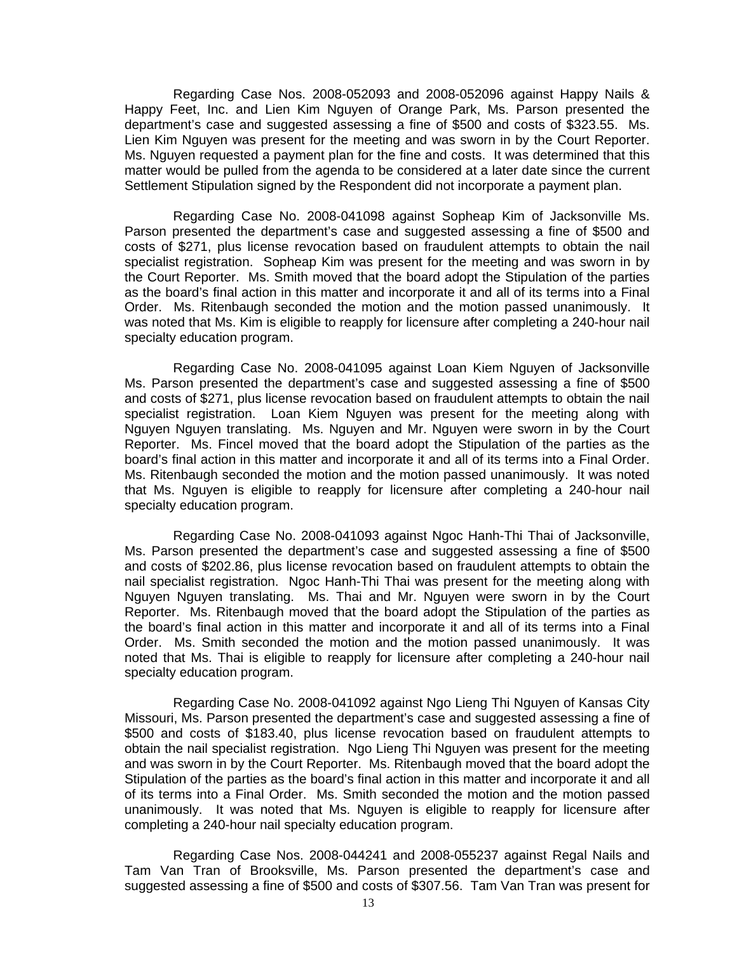Regarding Case Nos. 2008-052093 and 2008-052096 against Happy Nails & Happy Feet, Inc. and Lien Kim Nguyen of Orange Park, Ms. Parson presented the department's case and suggested assessing a fine of \$500 and costs of \$323.55. Ms. Lien Kim Nguyen was present for the meeting and was sworn in by the Court Reporter. Ms. Nguyen requested a payment plan for the fine and costs. It was determined that this matter would be pulled from the agenda to be considered at a later date since the current Settlement Stipulation signed by the Respondent did not incorporate a payment plan.

 Regarding Case No. 2008-041098 against Sopheap Kim of Jacksonville Ms. Parson presented the department's case and suggested assessing a fine of \$500 and costs of \$271, plus license revocation based on fraudulent attempts to obtain the nail specialist registration. Sopheap Kim was present for the meeting and was sworn in by the Court Reporter. Ms. Smith moved that the board adopt the Stipulation of the parties as the board's final action in this matter and incorporate it and all of its terms into a Final Order. Ms. Ritenbaugh seconded the motion and the motion passed unanimously. It was noted that Ms. Kim is eligible to reapply for licensure after completing a 240-hour nail specialty education program.

 Regarding Case No. 2008-041095 against Loan Kiem Nguyen of Jacksonville Ms. Parson presented the department's case and suggested assessing a fine of \$500 and costs of \$271, plus license revocation based on fraudulent attempts to obtain the nail specialist registration. Loan Kiem Nguyen was present for the meeting along with Nguyen Nguyen translating. Ms. Nguyen and Mr. Nguyen were sworn in by the Court Reporter. Ms. Fincel moved that the board adopt the Stipulation of the parties as the board's final action in this matter and incorporate it and all of its terms into a Final Order. Ms. Ritenbaugh seconded the motion and the motion passed unanimously. It was noted that Ms. Nguyen is eligible to reapply for licensure after completing a 240-hour nail specialty education program.

 Regarding Case No. 2008-041093 against Ngoc Hanh-Thi Thai of Jacksonville, Ms. Parson presented the department's case and suggested assessing a fine of \$500 and costs of \$202.86, plus license revocation based on fraudulent attempts to obtain the nail specialist registration. Ngoc Hanh-Thi Thai was present for the meeting along with Nguyen Nguyen translating. Ms. Thai and Mr. Nguyen were sworn in by the Court Reporter. Ms. Ritenbaugh moved that the board adopt the Stipulation of the parties as the board's final action in this matter and incorporate it and all of its terms into a Final Order. Ms. Smith seconded the motion and the motion passed unanimously. It was noted that Ms. Thai is eligible to reapply for licensure after completing a 240-hour nail specialty education program.

 Regarding Case No. 2008-041092 against Ngo Lieng Thi Nguyen of Kansas City Missouri, Ms. Parson presented the department's case and suggested assessing a fine of \$500 and costs of \$183.40, plus license revocation based on fraudulent attempts to obtain the nail specialist registration. Ngo Lieng Thi Nguyen was present for the meeting and was sworn in by the Court Reporter. Ms. Ritenbaugh moved that the board adopt the Stipulation of the parties as the board's final action in this matter and incorporate it and all of its terms into a Final Order. Ms. Smith seconded the motion and the motion passed unanimously. It was noted that Ms. Nguyen is eligible to reapply for licensure after completing a 240-hour nail specialty education program.

 Regarding Case Nos. 2008-044241 and 2008-055237 against Regal Nails and Tam Van Tran of Brooksville, Ms. Parson presented the department's case and suggested assessing a fine of \$500 and costs of \$307.56. Tam Van Tran was present for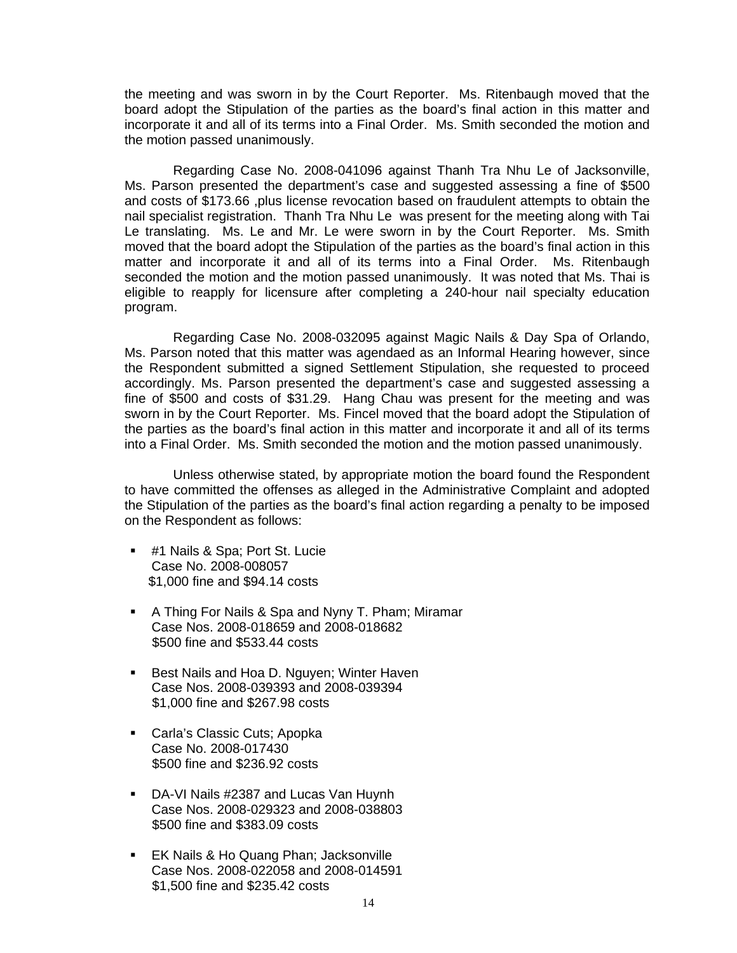the meeting and was sworn in by the Court Reporter. Ms. Ritenbaugh moved that the board adopt the Stipulation of the parties as the board's final action in this matter and incorporate it and all of its terms into a Final Order. Ms. Smith seconded the motion and the motion passed unanimously.

 Regarding Case No. 2008-041096 against Thanh Tra Nhu Le of Jacksonville, Ms. Parson presented the department's case and suggested assessing a fine of \$500 and costs of \$173.66 ,plus license revocation based on fraudulent attempts to obtain the nail specialist registration. Thanh Tra Nhu Le was present for the meeting along with Tai Le translating. Ms. Le and Mr. Le were sworn in by the Court Reporter. Ms. Smith moved that the board adopt the Stipulation of the parties as the board's final action in this matter and incorporate it and all of its terms into a Final Order. Ms. Ritenbaugh seconded the motion and the motion passed unanimously. It was noted that Ms. Thai is eligible to reapply for licensure after completing a 240-hour nail specialty education program.

 Regarding Case No. 2008-032095 against Magic Nails & Day Spa of Orlando, Ms. Parson noted that this matter was agendaed as an Informal Hearing however, since the Respondent submitted a signed Settlement Stipulation, she requested to proceed accordingly. Ms. Parson presented the department's case and suggested assessing a fine of \$500 and costs of \$31.29. Hang Chau was present for the meeting and was sworn in by the Court Reporter. Ms. Fincel moved that the board adopt the Stipulation of the parties as the board's final action in this matter and incorporate it and all of its terms into a Final Order. Ms. Smith seconded the motion and the motion passed unanimously.

 Unless otherwise stated, by appropriate motion the board found the Respondent to have committed the offenses as alleged in the Administrative Complaint and adopted the Stipulation of the parties as the board's final action regarding a penalty to be imposed on the Respondent as follows:

- **#1 Nails & Spa; Port St. Lucie** Case No. 2008-008057 \$1,000 fine and \$94.14 costs
- A Thing For Nails & Spa and Nyny T. Pham; Miramar Case Nos. 2008-018659 and 2008-018682 \$500 fine and \$533.44 costs
- Best Nails and Hoa D. Nguyen; Winter Haven Case Nos. 2008-039393 and 2008-039394 \$1,000 fine and \$267.98 costs
- **Carla's Classic Cuts; Apopka** Case No. 2008-017430 \$500 fine and \$236.92 costs
- DA-VI Nails #2387 and Lucas Van Huynh Case Nos. 2008-029323 and 2008-038803 \$500 fine and \$383.09 costs
- **EK Nails & Ho Quang Phan: Jacksonville** Case Nos. 2008-022058 and 2008-014591 \$1,500 fine and \$235.42 costs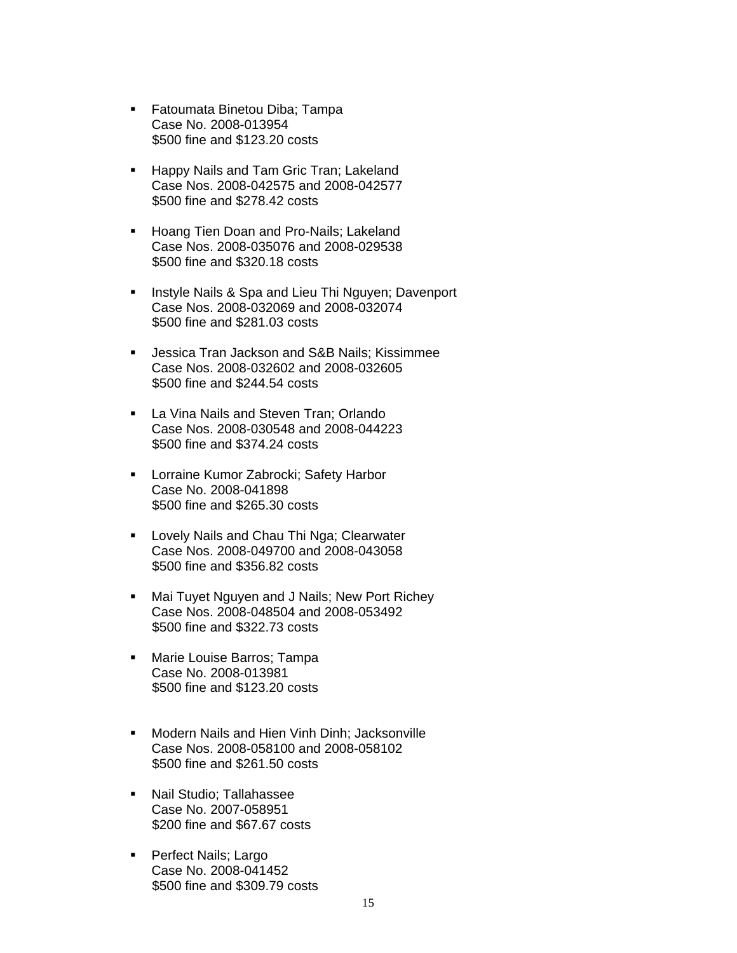- **Fatoumata Binetou Diba; Tampa** Case No. 2008-013954 \$500 fine and \$123.20 costs
- **Happy Nails and Tam Gric Tran; Lakeland F** Case Nos. 2008-042575 and 2008-042577 \$500 fine and \$278.42 costs
- **Hoang Tien Doan and Pro-Nails; Lakeland** Case Nos. 2008-035076 and 2008-029538 \$500 fine and \$320.18 costs
- **Instyle Nails & Spa and Lieu Thi Nguyen; Davenport** Case Nos. 2008-032069 and 2008-032074 \$500 fine and \$281.03 costs
- **Jessica Tran Jackson and S&B Nails; Kissimmee** Case Nos. 2008-032602 and 2008-032605 \$500 fine and \$244.54 costs
- **La Vina Nails and Steven Tran; Orlando** Case Nos. 2008-030548 and 2008-044223 \$500 fine and \$374.24 costs
- **-** Lorraine Kumor Zabrocki; Safety Harbor Case No. 2008-041898 \$500 fine and \$265.30 costs
- **Lovely Nails and Chau Thi Nga; Clearwater** Case Nos. 2008-049700 and 2008-043058 \$500 fine and \$356.82 costs
- **Mai Tuyet Nguyen and J Nails; New Port Richey** Case Nos. 2008-048504 and 2008-053492 \$500 fine and \$322.73 costs
- **Marie Louise Barros; Tampa** Case No. 2008-013981 \$500 fine and \$123.20 costs
- **Modern Nails and Hien Vinh Dinh: Jacksonville** Case Nos. 2008-058100 and 2008-058102 \$500 fine and \$261.50 costs
- **Nail Studio; Tallahassee** Case No. 2007-058951 \$200 fine and \$67.67 costs
- **Perfect Nails; Largo** Case No. 2008-041452 \$500 fine and \$309.79 costs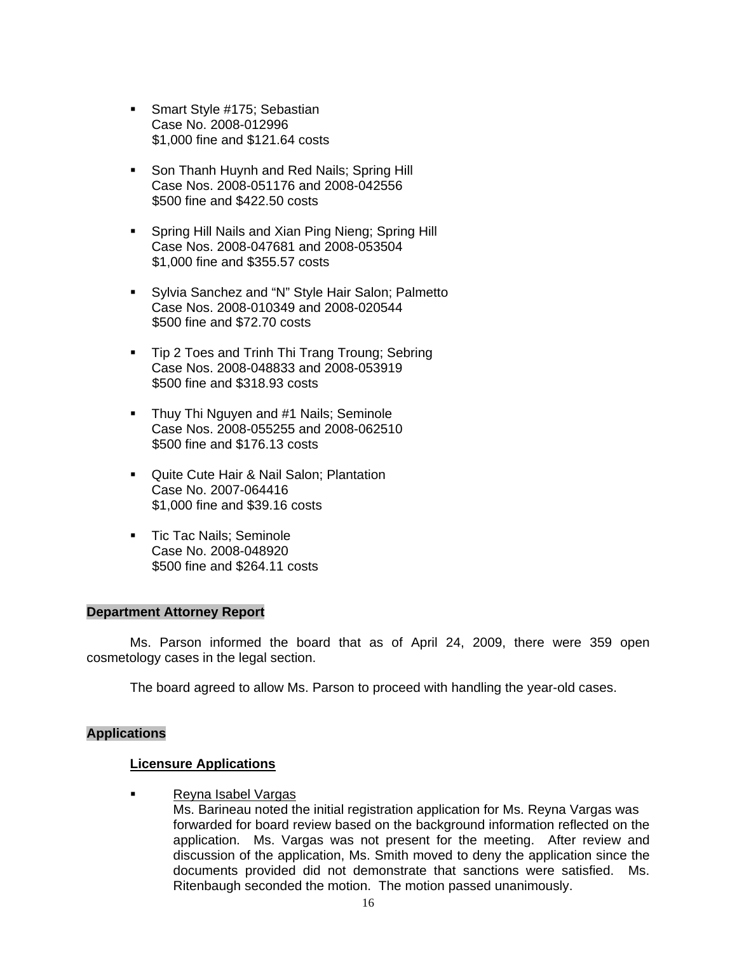- Smart Style #175; Sebastian Case No. 2008-012996 \$1,000 fine and \$121.64 costs
- **Son Thanh Huynh and Red Nails; Spring Hill** Case Nos. 2008-051176 and 2008-042556 \$500 fine and \$422.50 costs
- **Spring Hill Nails and Xian Ping Nieng; Spring Hill** Case Nos. 2008-047681 and 2008-053504 \$1,000 fine and \$355.57 costs
- **Sylvia Sanchez and "N" Style Hair Salon; Palmetto** Case Nos. 2008-010349 and 2008-020544 \$500 fine and \$72.70 costs
- **Tip 2 Toes and Trinh Thi Trang Troung; Sebring** Case Nos. 2008-048833 and 2008-053919 \$500 fine and \$318.93 costs
- Thuy Thi Nguyen and #1 Nails; Seminole Case Nos. 2008-055255 and 2008-062510 \$500 fine and \$176.13 costs
- Quite Cute Hair & Nail Salon; Plantation Case No. 2007-064416 \$1,000 fine and \$39.16 costs
- **Tic Tac Nails; Seminole** Case No. 2008-048920 \$500 fine and \$264.11 costs

### **Department Attorney Report**

Ms. Parson informed the board that as of April 24, 2009, there were 359 open cosmetology cases in the legal section.

The board agreed to allow Ms. Parson to proceed with handling the year-old cases.

### **Applications**

### **Licensure Applications**

**Reyna Isabel Vargas** 

Ms. Barineau noted the initial registration application for Ms. Reyna Vargas was forwarded for board review based on the background information reflected on the application. Ms. Vargas was not present for the meeting. After review and discussion of the application, Ms. Smith moved to deny the application since the documents provided did not demonstrate that sanctions were satisfied. Ms. Ritenbaugh seconded the motion. The motion passed unanimously.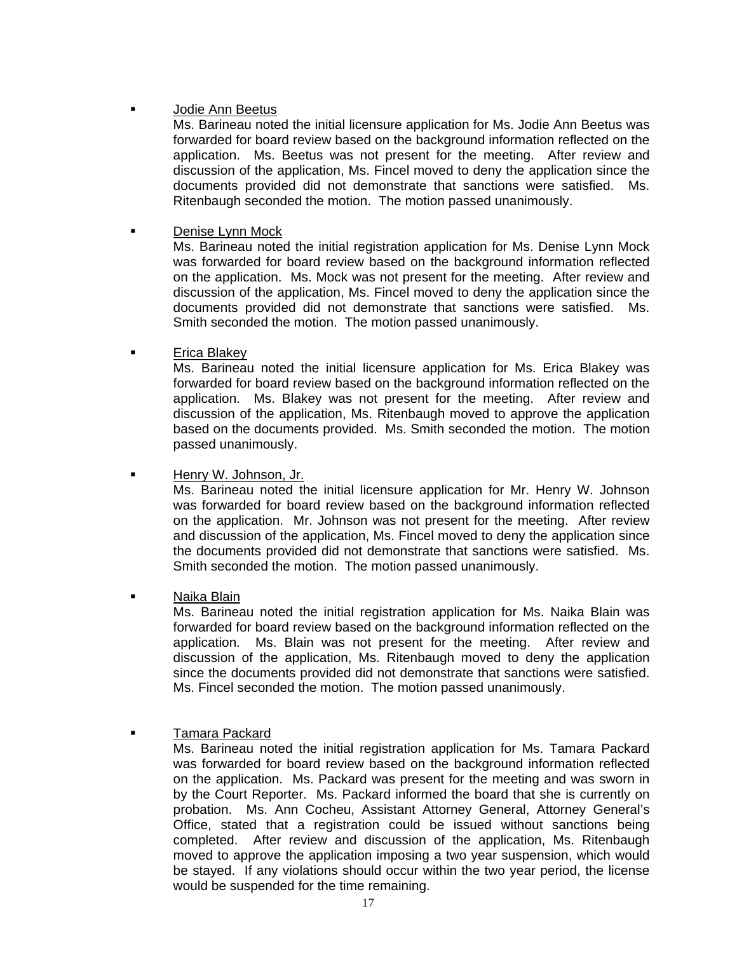# Jodie Ann Beetus

Ms. Barineau noted the initial licensure application for Ms. Jodie Ann Beetus was forwarded for board review based on the background information reflected on the application. Ms. Beetus was not present for the meeting. After review and discussion of the application, Ms. Fincel moved to deny the application since the documents provided did not demonstrate that sanctions were satisfied. Ms. Ritenbaugh seconded the motion. The motion passed unanimously.

# **Denise Lynn Mock**

Ms. Barineau noted the initial registration application for Ms. Denise Lynn Mock was forwarded for board review based on the background information reflected on the application. Ms. Mock was not present for the meeting. After review and discussion of the application, Ms. Fincel moved to deny the application since the documents provided did not demonstrate that sanctions were satisfied. Ms. Smith seconded the motion. The motion passed unanimously.

# Erica Blakey

Ms. Barineau noted the initial licensure application for Ms. Erica Blakey was forwarded for board review based on the background information reflected on the application. Ms. Blakey was not present for the meeting. After review and discussion of the application, Ms. Ritenbaugh moved to approve the application based on the documents provided. Ms. Smith seconded the motion. The motion passed unanimously.

**Henry W. Johnson, Jr.** 

Ms. Barineau noted the initial licensure application for Mr. Henry W. Johnson was forwarded for board review based on the background information reflected on the application. Mr. Johnson was not present for the meeting. After review and discussion of the application, Ms. Fincel moved to deny the application since the documents provided did not demonstrate that sanctions were satisfied. Ms. Smith seconded the motion. The motion passed unanimously.

# Naika Blain

Ms. Barineau noted the initial registration application for Ms. Naika Blain was forwarded for board review based on the background information reflected on the application. Ms. Blain was not present for the meeting. After review and discussion of the application, Ms. Ritenbaugh moved to deny the application since the documents provided did not demonstrate that sanctions were satisfied. Ms. Fincel seconded the motion. The motion passed unanimously.

# Tamara Packard

Ms. Barineau noted the initial registration application for Ms. Tamara Packard was forwarded for board review based on the background information reflected on the application. Ms. Packard was present for the meeting and was sworn in by the Court Reporter. Ms. Packard informed the board that she is currently on probation. Ms. Ann Cocheu, Assistant Attorney General, Attorney General's Office, stated that a registration could be issued without sanctions being completed. After review and discussion of the application, Ms. Ritenbaugh moved to approve the application imposing a two year suspension, which would be stayed. If any violations should occur within the two year period, the license would be suspended for the time remaining.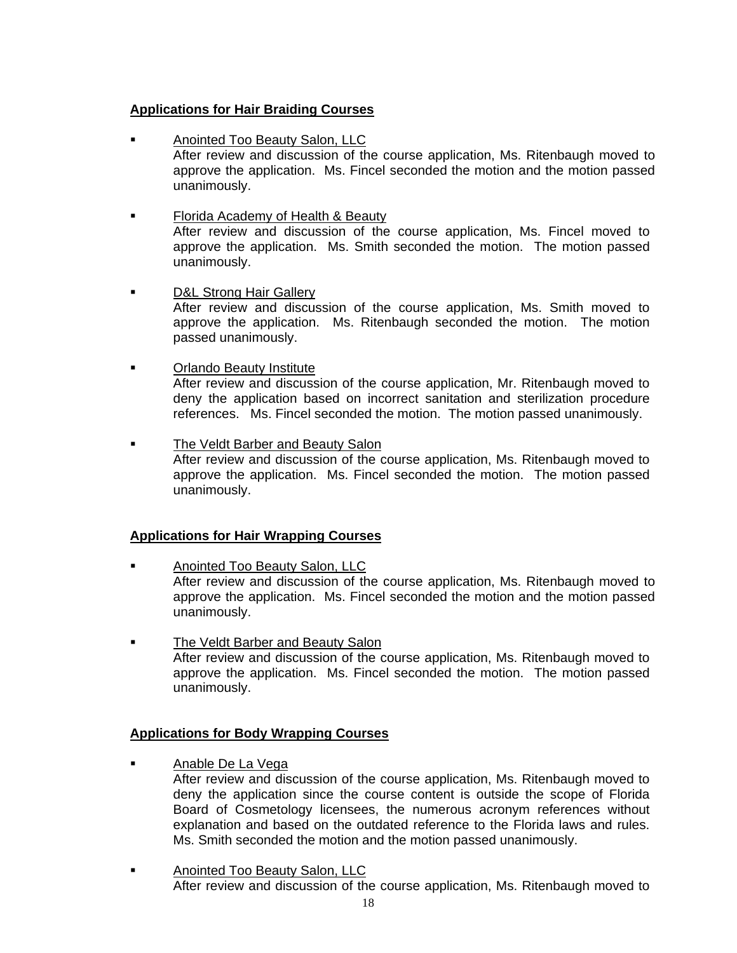# **Applications for Hair Braiding Courses**

- Anointed Too Beauty Salon, LLC After review and discussion of the course application, Ms. Ritenbaugh moved to approve the application. Ms. Fincel seconded the motion and the motion passed unanimously.
- **Filian** Florida Academy of Health & Beauty After review and discussion of the course application, Ms. Fincel moved to approve the application. Ms. Smith seconded the motion. The motion passed unanimously.
- D&L Strong Hair Gallery After review and discussion of the course application, Ms. Smith moved to approve the application. Ms. Ritenbaugh seconded the motion. The motion passed unanimously.
- **Example 3** Orlando Beauty Institute After review and discussion of the course application, Mr. Ritenbaugh moved to deny the application based on incorrect sanitation and sterilization procedure
- The Veldt Barber and Beauty Salon After review and discussion of the course application, Ms. Ritenbaugh moved to approve the application. Ms. Fincel seconded the motion. The motion passed unanimously.

references. Ms. Fincel seconded the motion. The motion passed unanimously.

# **Applications for Hair Wrapping Courses**

- Anointed Too Beauty Salon, LLC After review and discussion of the course application, Ms. Ritenbaugh moved to approve the application. Ms. Fincel seconded the motion and the motion passed unanimously.
- The Veldt Barber and Beauty Salon After review and discussion of the course application, Ms. Ritenbaugh moved to approve the application. Ms. Fincel seconded the motion. The motion passed unanimously.

# **Applications for Body Wrapping Courses**

- **Anable De La Vega** 
	- After review and discussion of the course application, Ms. Ritenbaugh moved to deny the application since the course content is outside the scope of Florida Board of Cosmetology licensees, the numerous acronym references without explanation and based on the outdated reference to the Florida laws and rules. Ms. Smith seconded the motion and the motion passed unanimously.
- **Anointed Too Beauty Salon, LLC** After review and discussion of the course application, Ms. Ritenbaugh moved to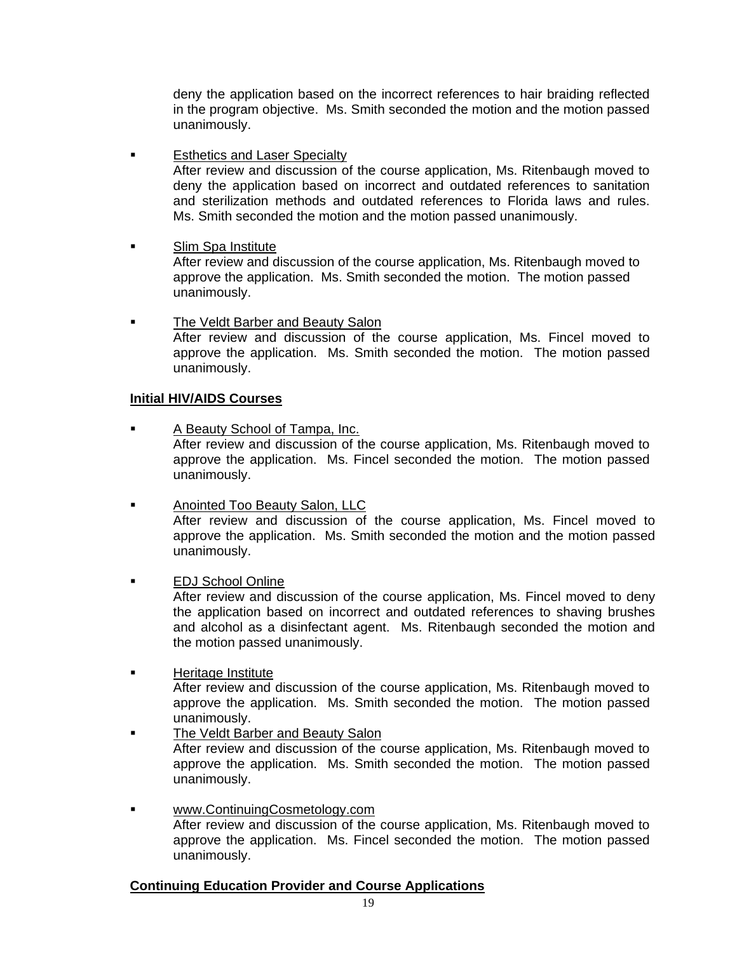deny the application based on the incorrect references to hair braiding reflected in the program objective. Ms. Smith seconded the motion and the motion passed unanimously.

**Esthetics and Laser Specialty** 

After review and discussion of the course application, Ms. Ritenbaugh moved to deny the application based on incorrect and outdated references to sanitation and sterilization methods and outdated references to Florida laws and rules. Ms. Smith seconded the motion and the motion passed unanimously.

**Slim Spa Institute** 

 After review and discussion of the course application, Ms. Ritenbaugh moved to approve the application. Ms. Smith seconded the motion. The motion passed unanimously.

**The Veldt Barber and Beauty Salon** After review and discussion of the course application, Ms. Fincel moved to approve the application. Ms. Smith seconded the motion. The motion passed unanimously.

## **Initial HIV/AIDS Courses**

- A Beauty School of Tampa, Inc. After review and discussion of the course application, Ms. Ritenbaugh moved to approve the application. Ms. Fincel seconded the motion. The motion passed unanimously.
- Anointed Too Beauty Salon, LLC After review and discussion of the course application, Ms. Fincel moved to approve the application. Ms. Smith seconded the motion and the motion passed unanimously.
- EDJ School Online After review and discussion of the course application, Ms. Fincel moved to deny the application based on incorrect and outdated references to shaving brushes and alcohol as a disinfectant agent. Ms. Ritenbaugh seconded the motion and the motion passed unanimously.
- **E** Heritage Institute After review and discussion of the course application, Ms. Ritenbaugh moved to approve the application. Ms. Smith seconded the motion. The motion passed unanimously.
- **The Veldt Barber and Beauty Salon** After review and discussion of the course application, Ms. Ritenbaugh moved to approve the application. Ms. Smith seconded the motion. The motion passed unanimously.
- www.ContinuingCosmetology.com After review and discussion of the course application, Ms. Ritenbaugh moved to approve the application. Ms. Fincel seconded the motion. The motion passed unanimously.

# **Continuing Education Provider and Course Applications**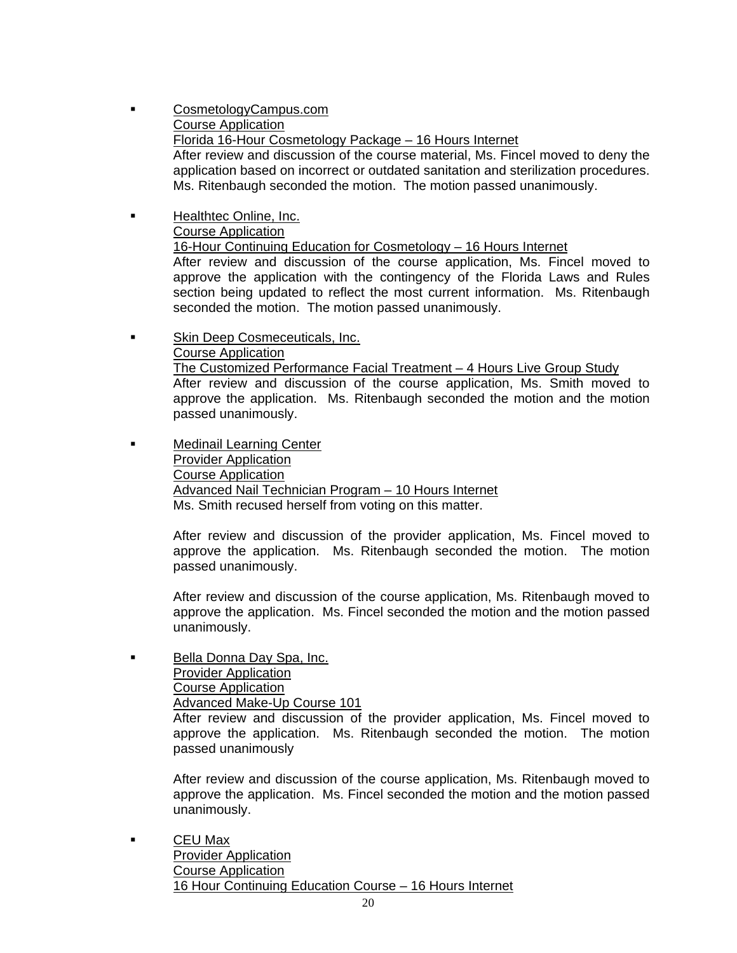- CosmetologyCampus.com Course Application Florida 16-Hour Cosmetology Package – 16 Hours Internet After review and discussion of the course material, Ms. Fincel moved to deny the application based on incorrect or outdated sanitation and sterilization procedures. Ms. Ritenbaugh seconded the motion. The motion passed unanimously.
- **Healthtec Online, Inc.**  Course Application 16-Hour Continuing Education for Cosmetology – 16 Hours Internet After review and discussion of the course application, Ms. Fincel moved to approve the application with the contingency of the Florida Laws and Rules section being updated to reflect the most current information. Ms. Ritenbaugh seconded the motion. The motion passed unanimously.
- **Skin Deep Cosmeceuticals, Inc.**  Course Application The Customized Performance Facial Treatment – 4 Hours Live Group Study After review and discussion of the course application, Ms. Smith moved to approve the application. Ms. Ritenbaugh seconded the motion and the motion passed unanimously.
- **Example 21 Medinail Learning Center**  Provider Application Course Application Advanced Nail Technician Program – 10 Hours Internet Ms. Smith recused herself from voting on this matter.

 After review and discussion of the provider application, Ms. Fincel moved to approve the application. Ms. Ritenbaugh seconded the motion. The motion passed unanimously.

After review and discussion of the course application, Ms. Ritenbaugh moved to approve the application. Ms. Fincel seconded the motion and the motion passed unanimously.

 Bella Donna Day Spa, Inc. Provider Application Course Application Advanced Make-Up Course 101

After review and discussion of the provider application, Ms. Fincel moved to approve the application. Ms. Ritenbaugh seconded the motion. The motion passed unanimously

After review and discussion of the course application, Ms. Ritenbaugh moved to approve the application. Ms. Fincel seconded the motion and the motion passed unanimously.

 CEU Max Provider Application Course Application 16 Hour Continuing Education Course – 16 Hours Internet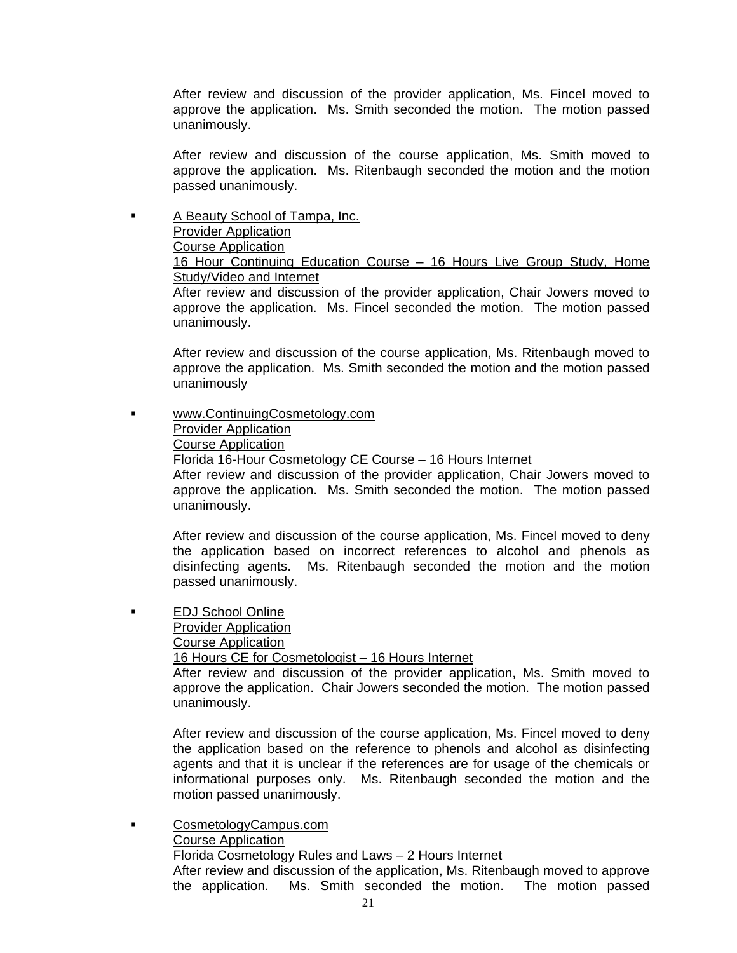After review and discussion of the provider application, Ms. Fincel moved to approve the application. Ms. Smith seconded the motion. The motion passed unanimously.

After review and discussion of the course application, Ms. Smith moved to approve the application. Ms. Ritenbaugh seconded the motion and the motion passed unanimously.

**A Beauty School of Tampa, Inc.**  Provider Application Course Application 16 Hour Continuing Education Course – 16 Hours Live Group Study, Home Study/Video and Internet After review and discussion of the provider application, Chair Jowers moved to

approve the application. Ms. Fincel seconded the motion. The motion passed unanimously.

After review and discussion of the course application, Ms. Ritenbaugh moved to approve the application. Ms. Smith seconded the motion and the motion passed unanimously

 [www.ContinuingCosmetology.com](http://www.continuingcosmetology.com/) Provider Application Course Application Florida 16-Hour Cosmetology CE Course – 16 Hours Internet

After review and discussion of the provider application, Chair Jowers moved to approve the application. Ms. Smith seconded the motion. The motion passed unanimously.

After review and discussion of the course application, Ms. Fincel moved to deny the application based on incorrect references to alcohol and phenols as disinfecting agents. Ms. Ritenbaugh seconded the motion and the motion passed unanimously.

**EDJ School Online**  Provider Application Course Application

16 Hours CE for Cosmetologist – 16 Hours Internet

After review and discussion of the provider application, Ms. Smith moved to approve the application. Chair Jowers seconded the motion. The motion passed unanimously.

After review and discussion of the course application, Ms. Fincel moved to deny the application based on the reference to phenols and alcohol as disinfecting agents and that it is unclear if the references are for usage of the chemicals or informational purposes only. Ms. Ritenbaugh seconded the motion and the motion passed unanimously.

 CosmetologyCampus.com Course Application Florida Cosmetology Rules and Laws – 2 Hours Internet After review and discussion of the application, Ms. Ritenbaugh moved to approve the application. Ms. Smith seconded the motion. The motion passed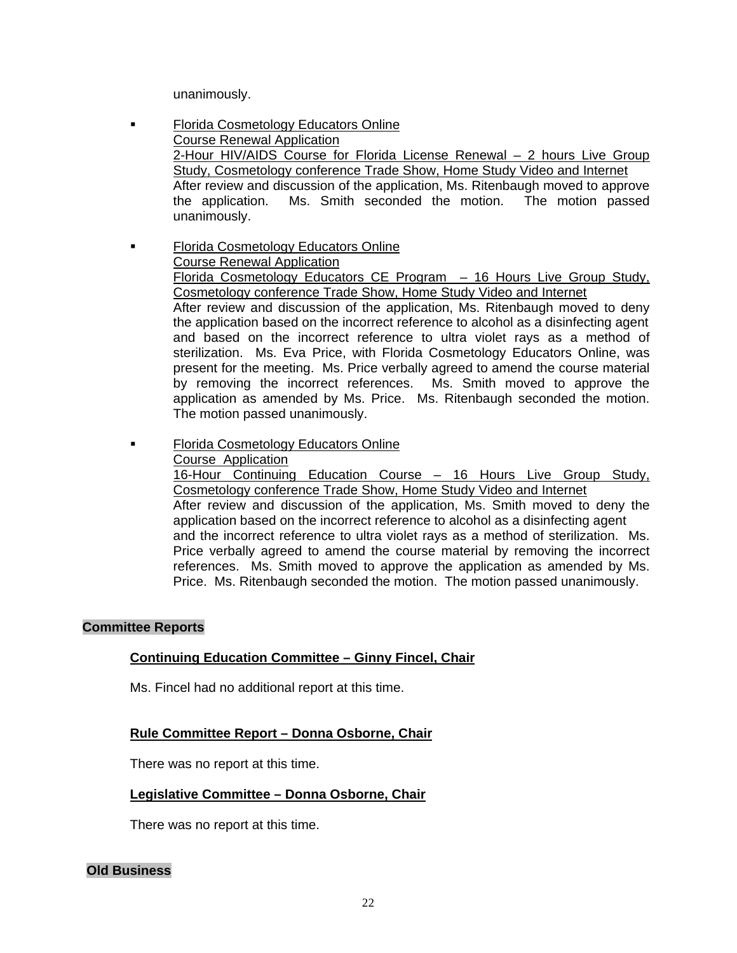unanimously.

- **Florida Cosmetology Educators Online**  Course Renewal Application 2-Hour HIV/AIDS Course for Florida License Renewal – 2 hours Live Group Study, Cosmetology conference Trade Show, Home Study Video and Internet After review and discussion of the application, Ms. Ritenbaugh moved to approve the application. Ms. Smith seconded the motion. The motion passed unanimously.
- **Florida Cosmetology Educators Online**  Course Renewal Application Florida Cosmetology Educators CE Program – 16 Hours Live Group Study, Cosmetology conference Trade Show, Home Study Video and Internet After review and discussion of the application, Ms. Ritenbaugh moved to deny the application based on the incorrect reference to alcohol as a disinfecting agent and based on the incorrect reference to ultra violet rays as a method of sterilization. Ms. Eva Price, with Florida Cosmetology Educators Online, was present for the meeting. Ms. Price verbally agreed to amend the course material by removing the incorrect references. Ms. Smith moved to approve the application as amended by Ms. Price. Ms. Ritenbaugh seconded the motion. The motion passed unanimously.
- **Florida Cosmetology Educators Online**  Course Application 16-Hour Continuing Education Course – 16 Hours Live Group Study, Cosmetology conference Trade Show, Home Study Video and Internet After review and discussion of the application, Ms. Smith moved to deny the application based on the incorrect reference to alcohol as a disinfecting agent and the incorrect reference to ultra violet rays as a method of sterilization. Ms. Price verbally agreed to amend the course material by removing the incorrect references. Ms. Smith moved to approve the application as amended by Ms. Price. Ms. Ritenbaugh seconded the motion. The motion passed unanimously.

# **Committee Reports**

# **Continuing Education Committee – Ginny Fincel, Chair**

Ms. Fincel had no additional report at this time.

# **Rule Committee Report – Donna Osborne, Chair**

There was no report at this time.

# **Legislative Committee – Donna Osborne, Chair**

There was no report at this time.

**Old Business**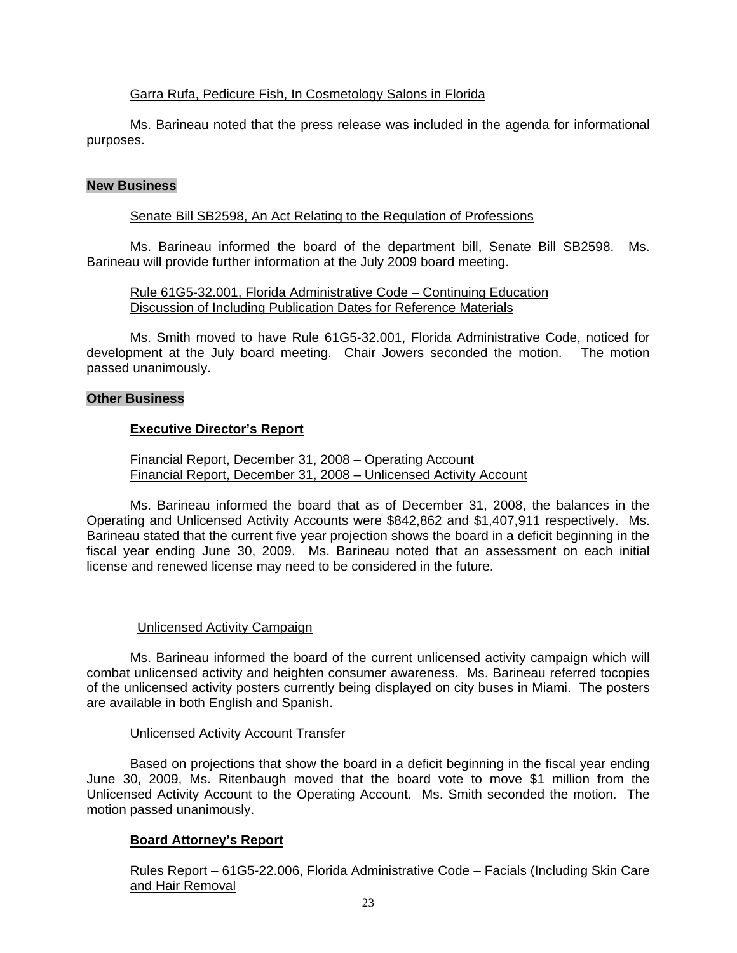# Garra Rufa, Pedicure Fish, In Cosmetology Salons in Florida

 Ms. Barineau noted that the press release was included in the agenda for informational purposes.

## **New Business**

## Senate Bill SB2598, An Act Relating to the Regulation of Professions

 Ms. Barineau informed the board of the department bill, Senate Bill SB2598. Ms. Barineau will provide further information at the July 2009 board meeting.

 Rule 61G5-32.001, Florida Administrative Code – Continuing Education Discussion of Including Publication Dates for Reference Materials

 Ms. Smith moved to have Rule 61G5-32.001, Florida Administrative Code, noticed for development at the July board meeting. Chair Jowers seconded the motion. The motion passed unanimously.

### **Other Business**

# **Executive Director's Report**

 Financial Report, December 31, 2008 – Operating Account Financial Report, December 31, 2008 – Unlicensed Activity Account

 Ms. Barineau informed the board that as of December 31, 2008, the balances in the Operating and Unlicensed Activity Accounts were \$842,862 and \$1,407,911 respectively. Ms. Barineau stated that the current five year projection shows the board in a deficit beginning in the fiscal year ending June 30, 2009. Ms. Barineau noted that an assessment on each initial license and renewed license may need to be considered in the future.

### Unlicensed Activity Campaign

 Ms. Barineau informed the board of the current unlicensed activity campaign which will combat unlicensed activity and heighten consumer awareness. Ms. Barineau referred tocopies of the unlicensed activity posters currently being displayed on city buses in Miami. The posters are available in both English and Spanish.

### Unlicensed Activity Account Transfer

 Based on projections that show the board in a deficit beginning in the fiscal year ending June 30, 2009, Ms. Ritenbaugh moved that the board vote to move \$1 million from the Unlicensed Activity Account to the Operating Account. Ms. Smith seconded the motion. The motion passed unanimously.

# **Board Attorney's Report**

 Rules Report – 61G5-22.006, Florida Administrative Code – Facials (Including Skin Care and Hair Removal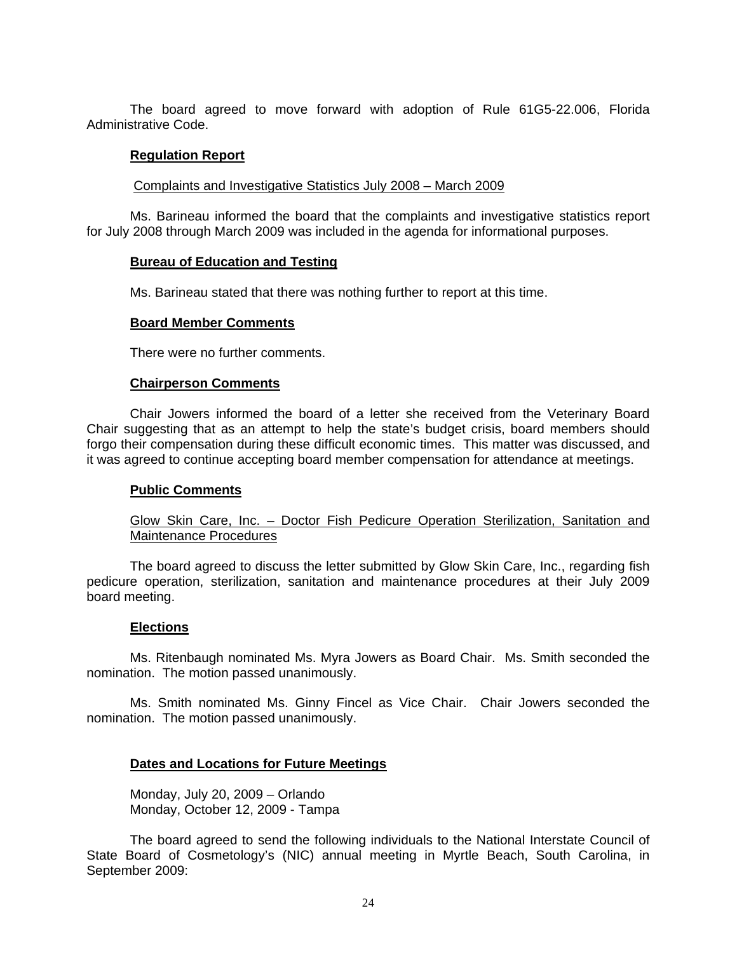The board agreed to move forward with adoption of Rule 61G5-22.006, Florida Administrative Code.

#### **Regulation Report**

Complaints and Investigative Statistics July 2008 – March 2009

 Ms. Barineau informed the board that the complaints and investigative statistics report for July 2008 through March 2009 was included in the agenda for informational purposes.

#### **Bureau of Education and Testing**

Ms. Barineau stated that there was nothing further to report at this time.

#### **Board Member Comments**

There were no further comments.

#### **Chairperson Comments**

 Chair Jowers informed the board of a letter she received from the Veterinary Board Chair suggesting that as an attempt to help the state's budget crisis, board members should forgo their compensation during these difficult economic times. This matter was discussed, and it was agreed to continue accepting board member compensation for attendance at meetings.

### **Public Comments**

 Glow Skin Care, Inc. – Doctor Fish Pedicure Operation Sterilization, Sanitation and Maintenance Procedures

 The board agreed to discuss the letter submitted by Glow Skin Care, Inc., regarding fish pedicure operation, sterilization, sanitation and maintenance procedures at their July 2009 board meeting.

#### **Elections**

 Ms. Ritenbaugh nominated Ms. Myra Jowers as Board Chair. Ms. Smith seconded the nomination. The motion passed unanimously.

 Ms. Smith nominated Ms. Ginny Fincel as Vice Chair. Chair Jowers seconded the nomination. The motion passed unanimously.

### **Dates and Locations for Future Meetings**

 Monday, July 20, 2009 – Orlando Monday, October 12, 2009 - Tampa

 The board agreed to send the following individuals to the National Interstate Council of State Board of Cosmetology's (NIC) annual meeting in Myrtle Beach, South Carolina, in September 2009: